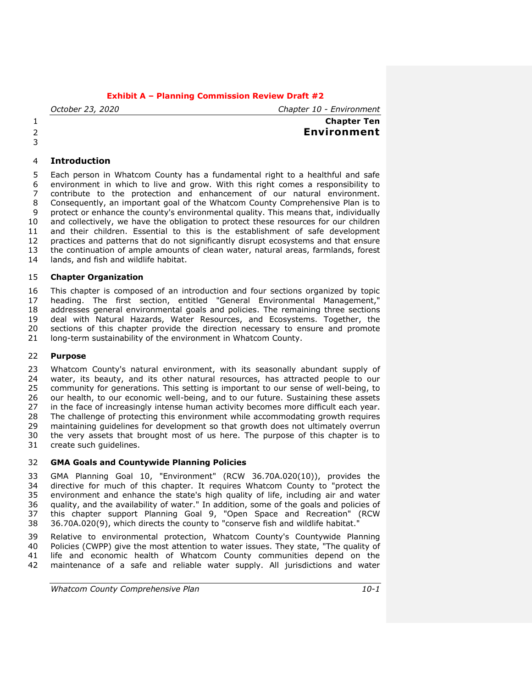*October 23, 2020 Chapter 10 - Environment*

# **Chapter Ten Environment**

# **Introduction**

 Each person in Whatcom County has a fundamental right to a healthful and safe environment in which to live and grow. With this right comes a responsibility to contribute to the protection and enhancement of our natural environment. Consequently, an important goal of the Whatcom County Comprehensive Plan is to protect or enhance the county's environmental quality. This means that, individually and collectively, we have the obligation to protect these resources for our children and their children. Essential to this is the establishment of safe development practices and patterns that do not significantly disrupt ecosystems and that ensure the continuation of ample amounts of clean water, natural areas, farmlands, forest lands, and fish and wildlife habitat.

# **Chapter Organization**

 This chapter is composed of an introduction and four sections organized by topic heading. The first section, entitled "General Environmental Management," addresses general environmental goals and policies. The remaining three sections deal with Natural Hazards, Water Resources, and Ecosystems. Together, the sections of this chapter provide the direction necessary to ensure and promote long-term sustainability of the environment in Whatcom County.

# **Purpose**

 Whatcom County's natural environment, with its seasonally abundant supply of 24 water, its beauty, and its other natural resources, has attracted people to our community for generations. This setting is important to our sense of well-being, to our health, to our economic well-being, and to our future. Sustaining these assets in the face of increasingly intense human activity becomes more difficult each year. The challenge of protecting this environment while accommodating growth requires maintaining guidelines for development so that growth does not ultimately overrun the very assets that brought most of us here. The purpose of this chapter is to create such guidelines.

#### **GMA Goals and Countywide Planning Policies**

 GMA Planning Goal 10, "Environment" (RCW 36.70A.020(10)), provides the directive for much of this chapter. It requires Whatcom County to "protect the environment and enhance the state's high quality of life, including air and water quality, and the availability of water." In addition, some of the goals and policies of this chapter support Planning Goal 9, "Open Space and Recreation" (RCW 36.70A.020(9), which directs the county to "conserve fish and wildlife habitat."

 Relative to environmental protection, Whatcom County's Countywide Planning Policies (CWPP) give the most attention to water issues. They state, "The quality of life and economic health of Whatcom County communities depend on the maintenance of a safe and reliable water supply. All jurisdictions and water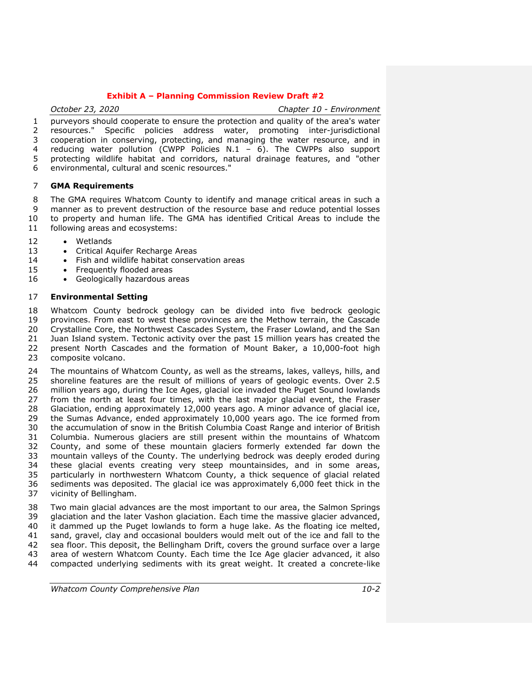*October 23, 2020 Chapter 10 - Environment*

 purveyors should cooperate to ensure the protection and quality of the area's water resources." Specific policies address water, promoting inter-jurisdictional cooperation in conserving, protecting, and managing the water resource, and in reducing water pollution (CWPP Policies N.1 – 6). The CWPPs also support protecting wildlife habitat and corridors, natural drainage features, and "other environmental, cultural and scenic resources."

#### **GMA Requirements**

 The GMA requires Whatcom County to identify and manage critical areas in such a manner as to prevent destruction of the resource base and reduce potential losses to property and human life. The GMA has identified Critical Areas to include the following areas and ecosystems:

- Wetlands
- 13 Critical Aquifer Recharge Areas
- 14 Fish and wildlife habitat conservation areas
- 15 Frequently flooded areas
- 16 Geologically hazardous areas

#### **Environmental Setting**

 Whatcom County bedrock geology can be divided into five bedrock geologic provinces. From east to west these provinces are the Methow terrain, the Cascade 20 Crystalline Core, the Northwest Cascades System, the Fraser Lowland, and the San<br>21 Juan Island system. Tectonic activity over the past 15 million years has created the Juan Island system. Tectonic activity over the past 15 million years has created the 22 present North Cascades and the formation of Mount Baker, a 10,000-foot high 23 composite volcano. composite volcano.

 The mountains of Whatcom County, as well as the streams, lakes, valleys, hills, and shoreline features are the result of millions of years of geologic events. Over 2.5 million years ago, during the Ice Ages, glacial ice invaded the Puget Sound lowlands from the north at least four times, with the last major glacial event, the Fraser Glaciation, ending approximately 12,000 years ago. A minor advance of glacial ice, the Sumas Advance, ended approximately 10,000 years ago. The ice formed from the accumulation of snow in the British Columbia Coast Range and interior of British Columbia. Numerous glaciers are still present within the mountains of Whatcom County, and some of these mountain glaciers formerly extended far down the mountain valleys of the County. The underlying bedrock was deeply eroded during these glacial events creating very steep mountainsides, and in some areas, particularly in northwestern Whatcom County, a thick sequence of glacial related sediments was deposited. The glacial ice was approximately 6,000 feet thick in the vicinity of Bellingham.

 Two main glacial advances are the most important to our area, the Salmon Springs glaciation and the later Vashon glaciation. Each time the massive glacier advanced, it dammed up the Puget lowlands to form a huge lake. As the floating ice melted, sand, gravel, clay and occasional boulders would melt out of the ice and fall to the sea floor. This deposit, the Bellingham Drift, covers the ground surface over a large area of western Whatcom County. Each time the Ice Age glacier advanced, it also compacted underlying sediments with its great weight. It created a concrete-like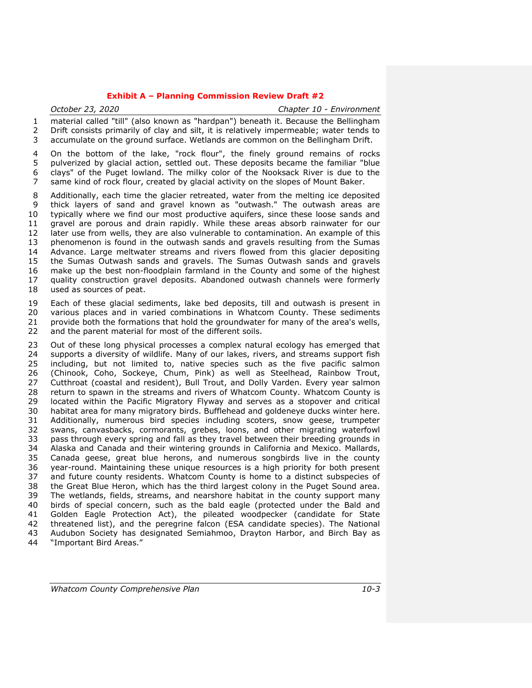*October 23, 2020 Chapter 10 - Environment* material called "till" (also known as "hardpan") beneath it. Because the Bellingham Drift consists primarily of clay and silt, it is relatively impermeable; water tends to accumulate on the ground surface. Wetlands are common on the Bellingham Drift.

 On the bottom of the lake, "rock flour", the finely ground remains of rocks pulverized by glacial action, settled out. These deposits became the familiar "blue clays" of the Puget lowland. The milky color of the Nooksack River is due to the same kind of rock flour, created by glacial activity on the slopes of Mount Baker.

 Additionally, each time the glacier retreated, water from the melting ice deposited thick layers of sand and gravel known as "outwash." The outwash areas are typically where we find our most productive aquifers, since these loose sands and gravel are porous and drain rapidly. While these areas absorb rainwater for our later use from wells, they are also vulnerable to contamination. An example of this phenomenon is found in the outwash sands and gravels resulting from the Sumas Advance. Large meltwater streams and rivers flowed from this glacier depositing the Sumas Outwash sands and gravels. The Sumas Outwash sands and gravels make up the best non-floodplain farmland in the County and some of the highest quality construction gravel deposits. Abandoned outwash channels were formerly used as sources of peat.

 Each of these glacial sediments, lake bed deposits, till and outwash is present in various places and in varied combinations in Whatcom County. These sediments provide both the formations that hold the groundwater for many of the area's wells, and the parent material for most of the different soils.

 Out of these long physical processes a complex natural ecology has emerged that 24 supports a diversity of wildlife. Many of our lakes, rivers, and streams support fish<br>25 including, but not limited to, native species such as the five pacific salmon including, but not limited to, native species such as the five pacific salmon (Chinook, Coho, Sockeye, Chum, Pink) as well as Steelhead, Rainbow Trout, Cutthroat (coastal and resident), Bull Trout, and Dolly Varden. Every year salmon return to spawn in the streams and rivers of Whatcom County. Whatcom County is located within the Pacific Migratory Flyway and serves as a stopover and critical habitat area for many migratory birds. Bufflehead and goldeneye ducks winter here. Additionally, numerous bird species including scoters, snow geese, trumpeter swans, canvasbacks, cormorants, grebes, loons, and other migrating waterfowl pass through every spring and fall as they travel between their breeding grounds in Alaska and Canada and their wintering grounds in California and Mexico. Mallards, Canada geese, great blue herons, and numerous songbirds live in the county year-round. Maintaining these unique resources is a high priority for both present and future county residents. Whatcom County is home to a distinct subspecies of the Great Blue Heron, which has the third largest colony in the Puget Sound area. The wetlands, fields, streams, and nearshore habitat in the county support many birds of special concern, such as the bald eagle (protected under the Bald and Golden Eagle Protection Act), the pileated woodpecker (candidate for State threatened list), and the peregrine falcon (ESA candidate species). The National Audubon Society has designated Semiahmoo, Drayton Harbor, and Birch Bay as "Important Bird Areas."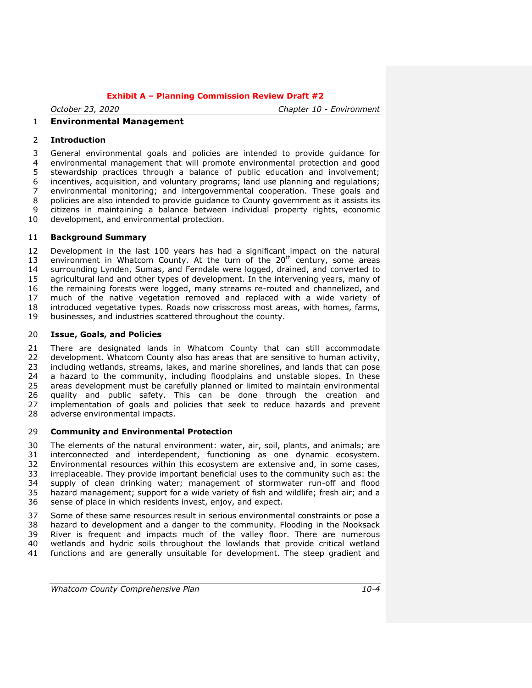*October 23, 2020 Chapter 10 - Environment*

# **Environmental Management**

#### **Introduction**

 General environmental goals and policies are intended to provide guidance for environmental management that will promote environmental protection and good stewardship practices through a balance of public education and involvement; incentives, acquisition, and voluntary programs; land use planning and regulations; environmental monitoring; and intergovernmental cooperation. These goals and policies are also intended to provide guidance to County government as it assists its citizens in maintaining a balance between individual property rights, economic development, and environmental protection.

# **Background Summary**

 Development in the last 100 years has had a significant impact on the natural 13 environment in Whatcom County. At the turn of the  $20<sup>th</sup>$  century, some areas surrounding Lynden, Sumas, and Ferndale were logged, drained, and converted to agricultural land and other types of development. In the intervening years, many of the remaining forests were logged, many streams re-routed and channelized, and much of the native vegetation removed and replaced with a wide variety of introduced vegetative types. Roads now crisscross most areas, with homes, farms, businesses, and industries scattered throughout the county.

#### **Issue, Goals, and Policies**

 There are designated lands in Whatcom County that can still accommodate development. Whatcom County also has areas that are sensitive to human activity, including wetlands, streams, lakes, and marine shorelines, and lands that can pose a hazard to the community, including floodplains and unstable slopes. In these areas development must be carefully planned or limited to maintain environmental quality and public safety. This can be done through the creation and implementation of goals and policies that seek to reduce hazards and prevent adverse environmental impacts.

#### **Community and Environmental Protection**

 The elements of the natural environment: water, air, soil, plants, and animals; are interconnected and interdependent, functioning as one dynamic ecosystem. 32 Environmental resources within this ecosystem are extensive and, in some cases, 33 irreplaceable. They provide important beneficial uses to the community such as: the irreplaceable. They provide important beneficial uses to the community such as: the 34 supply of clean drinking water; management of stormwater run-off and flood<br>35 hazard management; support for a wide variety of fish and wildlife; fresh air; and a hazard management; support for a wide variety of fish and wildlife; fresh air; and a sense of place in which residents invest, enjoy, and expect.

 Some of these same resources result in serious environmental constraints or pose a hazard to development and a danger to the community. Flooding in the Nooksack River is frequent and impacts much of the valley floor. There are numerous wetlands and hydric soils throughout the lowlands that provide critical wetland functions and are generally unsuitable for development. The steep gradient and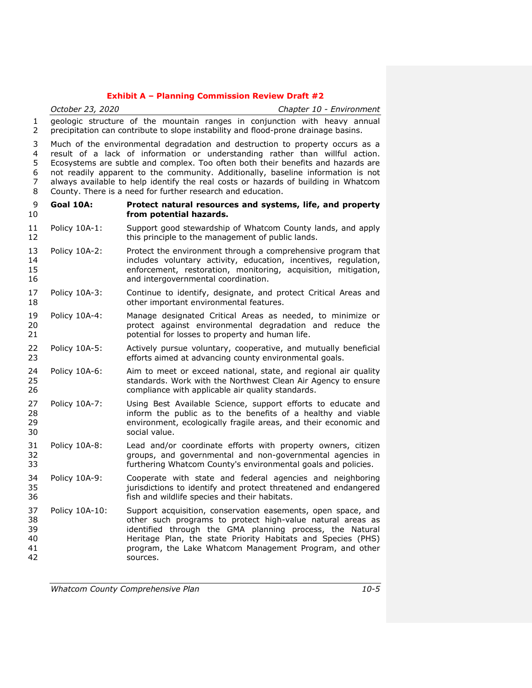*October 23, 2020 Chapter 10 - Environment* geologic structure of the mountain ranges in conjunction with heavy annual precipitation can contribute to slope instability and flood-prone drainage basins. Much of the environmental degradation and destruction to property occurs as a result of a lack of information or understanding rather than willful action. Ecosystems are subtle and complex. Too often both their benefits and hazards are not readily apparent to the community. Additionally, baseline information is not always available to help identify the real costs or hazards of building in Whatcom County. There is a need for further research and education. **Goal 10A: Protect natural resources and systems, life, and property from potential hazards.** Policy 10A-1: Support good stewardship of Whatcom County lands, and apply 12 this principle to the management of public lands. Policy 10A-2: Protect the environment through a comprehensive program that includes voluntary activity, education, incentives, regulation, enforcement, restoration, monitoring, acquisition, mitigation, 16 and intergovernmental coordination. Policy 10A-3: Continue to identify, designate, and protect Critical Areas and other important environmental features. Policy 10A-4: Manage designated Critical Areas as needed, to minimize or protect against environmental degradation and reduce the potential for losses to property and human life. Policy 10A-5: Actively pursue voluntary, cooperative, and mutually beneficial efforts aimed at advancing county environmental goals. Policy 10A-6: Aim to meet or exceed national, state, and regional air quality standards. Work with the Northwest Clean Air Agency to ensure compliance with applicable air quality standards. Policy 10A-7: Using Best Available Science, support efforts to educate and inform the public as to the benefits of a healthy and viable environment, ecologically fragile areas, and their economic and social value. Policy 10A-8: Lead and/or coordinate efforts with property owners, citizen groups, and governmental and non-governmental agencies in furthering Whatcom County's environmental goals and policies. Policy 10A-9: Cooperate with state and federal agencies and neighboring jurisdictions to identify and protect threatened and endangered fish and wildlife species and their habitats. Policy 10A-10: Support acquisition, conservation easements, open space, and other such programs to protect high-value natural areas as identified through the GMA planning process, the Natural Heritage Plan, the state Priority Habitats and Species (PHS) program, the Lake Whatcom Management Program, and other sources.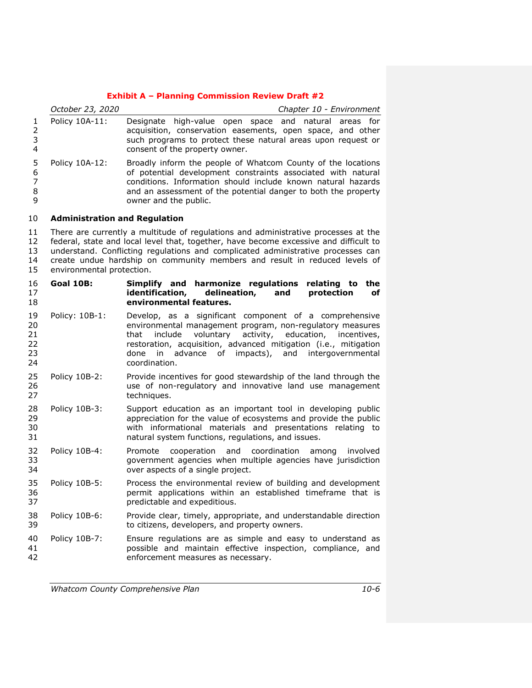|                                    | October 23, 2020                                                                                                                                                                                                                                                                                                                                                           | Chapter 10 - Environment                                                                                                                                                                                                                                                                                                                               |  |  |
|------------------------------------|----------------------------------------------------------------------------------------------------------------------------------------------------------------------------------------------------------------------------------------------------------------------------------------------------------------------------------------------------------------------------|--------------------------------------------------------------------------------------------------------------------------------------------------------------------------------------------------------------------------------------------------------------------------------------------------------------------------------------------------------|--|--|
| 1<br>$\overline{2}$<br>3<br>4      | Policy 10A-11:                                                                                                                                                                                                                                                                                                                                                             | Designate high-value open<br>space and natural areas for<br>acquisition, conservation easements, open space, and other<br>such programs to protect these natural areas upon request or<br>consent of the property owner.                                                                                                                               |  |  |
| 5<br>6<br>$\overline{7}$<br>8<br>9 | Policy 10A-12:                                                                                                                                                                                                                                                                                                                                                             | Broadly inform the people of Whatcom County of the locations<br>of potential development constraints associated with natural<br>conditions. Information should include known natural hazards<br>and an assessment of the potential danger to both the property<br>owner and the public.                                                                |  |  |
| 10                                 | <b>Administration and Regulation</b>                                                                                                                                                                                                                                                                                                                                       |                                                                                                                                                                                                                                                                                                                                                        |  |  |
| 11<br>12<br>13<br>14<br>15         | There are currently a multitude of regulations and administrative processes at the<br>federal, state and local level that, together, have become excessive and difficult to<br>understand. Conflicting regulations and complicated administrative processes can<br>create undue hardship on community members and result in reduced levels of<br>environmental protection. |                                                                                                                                                                                                                                                                                                                                                        |  |  |
| 16<br>17<br>18                     | <b>Goal 10B:</b>                                                                                                                                                                                                                                                                                                                                                           | Simplify and harmonize regulations<br>relating to<br>the<br>identification,<br>delineation,<br>protection<br>and<br>оf<br>environmental features.                                                                                                                                                                                                      |  |  |
| 19<br>20<br>21<br>22<br>23<br>24   | Policy: 10B-1:                                                                                                                                                                                                                                                                                                                                                             | Develop, as a significant component of a comprehensive<br>environmental management program, non-regulatory measures<br>that<br>voluntary<br>activity,<br>education, incentives,<br>include<br>restoration, acquisition, advanced mitigation (i.e., mitigation<br>of<br>impacts),<br>intergovernmental<br>done<br>advance<br>and<br>in<br>coordination. |  |  |
| 25<br>26<br>27                     | Policy 10B-2:                                                                                                                                                                                                                                                                                                                                                              | Provide incentives for good stewardship of the land through the<br>use of non-regulatory and innovative land use management<br>techniques.                                                                                                                                                                                                             |  |  |
| 28<br>29<br>30<br>31               | Policy 10B-3:                                                                                                                                                                                                                                                                                                                                                              | Support education as an important tool in developing public<br>appreciation for the value of ecosystems and provide the public<br>with informational materials and presentations relating to<br>natural system functions, regulations, and issues.                                                                                                     |  |  |
| 32<br>33<br>34                     | Policy 10B-4:                                                                                                                                                                                                                                                                                                                                                              | and coordination<br>Promote<br>cooperation<br>involved<br>among<br>government agencies when multiple agencies have jurisdiction<br>over aspects of a single project.                                                                                                                                                                                   |  |  |
| 35<br>36<br>37                     | Policy 10B-5:                                                                                                                                                                                                                                                                                                                                                              | Process the environmental review of building and development<br>permit applications within an established timeframe that is<br>predictable and expeditious.                                                                                                                                                                                            |  |  |
| 38<br>39                           | Policy 10B-6:                                                                                                                                                                                                                                                                                                                                                              | Provide clear, timely, appropriate, and understandable direction<br>to citizens, developers, and property owners.                                                                                                                                                                                                                                      |  |  |
| 40<br>41<br>42                     | Policy 10B-7:                                                                                                                                                                                                                                                                                                                                                              | Ensure regulations are as simple and easy to understand as<br>possible and maintain effective inspection, compliance, and<br>enforcement measures as necessary.                                                                                                                                                                                        |  |  |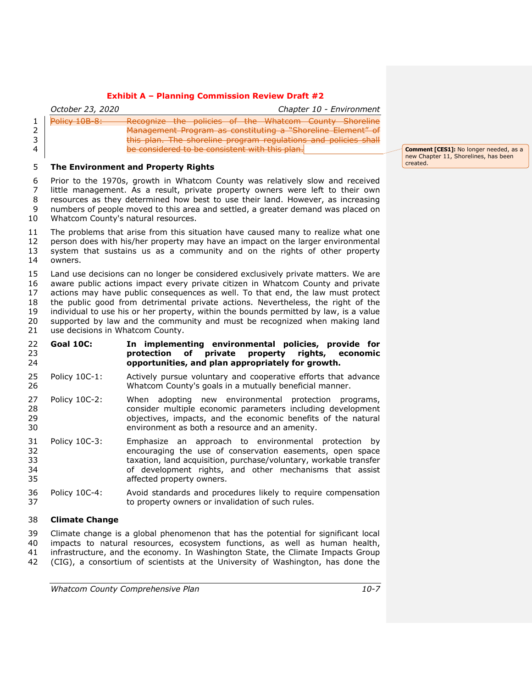| October 23, 2020<br>Chapter 10 - Environment                                                                                                                                                                                                                                                 |  |
|----------------------------------------------------------------------------------------------------------------------------------------------------------------------------------------------------------------------------------------------------------------------------------------------|--|
| Policy 10B-8:<br>Recognize the policies of the Whatcom County Shoreline<br>$\overline{\phantom{1}}$<br>Management Program as constituting a "Shoreline Element" of<br>this plan. The shoreline program regulations and policies shall<br>be considered to be consistent with this plan.<br>4 |  |

#### **The Environment and Property Rights**

 Prior to the 1970s, growth in Whatcom County was relatively slow and received little management. As a result, private property owners were left to their own resources as they determined how best to use their land. However, as increasing numbers of people moved to this area and settled, a greater demand was placed on Whatcom County's natural resources.

 The problems that arise from this situation have caused many to realize what one person does with his/her property may have an impact on the larger environmental system that sustains us as a community and on the rights of other property owners.

 Land use decisions can no longer be considered exclusively private matters. We are aware public actions impact every private citizen in Whatcom County and private actions may have public consequences as well. To that end, the law must protect the public good from detrimental private actions. Nevertheless, the right of the individual to use his or her property, within the bounds permitted by law, is a value supported by law and the community and must be recognized when making land use decisions in Whatcom County.

#### **Goal 10C: In implementing environmental policies, provide for protection of private property rights, economic opportunities, and plan appropriately for growth.**

- Policy 10C-1: Actively pursue voluntary and cooperative efforts that advance Whatcom County's goals in a mutually beneficial manner.
- Policy 10C-2: When adopting new environmental protection programs, consider multiple economic parameters including development objectives, impacts, and the economic benefits of the natural environment as both a resource and an amenity.
- Policy 10C-3: Emphasize an approach to environmental protection by encouraging the use of conservation easements, open space taxation, land acquisition, purchase/voluntary, workable transfer of development rights, and other mechanisms that assist affected property owners.
- Policy 10C-4: Avoid standards and procedures likely to require compensation to property owners or invalidation of such rules.

#### **Climate Change**

 Climate change is a global phenomenon that has the potential for significant local impacts to natural resources, ecosystem functions, as well as human health, infrastructure, and the economy. In Washington State, the Climate Impacts Group (CIG), a consortium of scientists at the University of Washington, has done the

**Comment [CES1]:** No longer needed, as a new Chapter 11, Shorelines, has been created.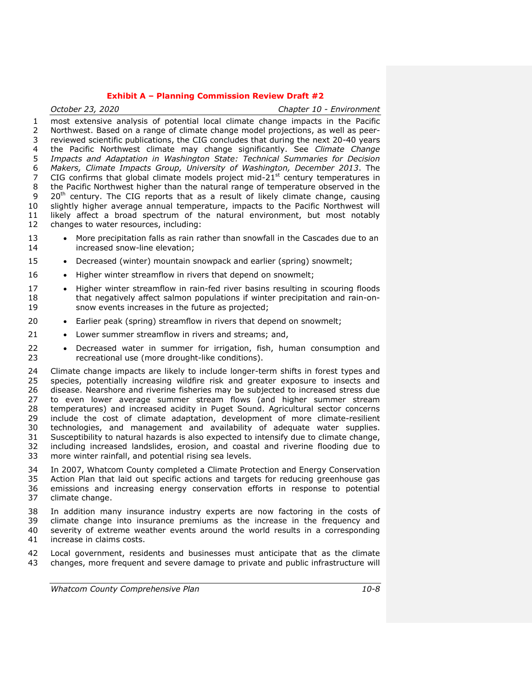*October 23, 2020 Chapter 10 - Environment* most extensive analysis of potential local climate change impacts in the Pacific Northwest. Based on a range of climate change model projections, as well as peer- reviewed scientific publications, the CIG concludes that during the next 20-40 years the Pacific Northwest climate may change significantly. See *Climate Change Impacts and Adaptation in Washington State: Technical Summaries for Decision Makers, Climate Impacts Group, University of Washington, December 2013*. The 7 CIG confirms that global climate models project mid- $21<sup>st</sup>$  century temperatures in the Pacific Northwest higher than the natural range of temperature observed in the 9 20<sup>th</sup> century. The CIG reports that as a result of likely climate change, causing slightly higher average annual temperature, impacts to the Pacific Northwest will likely affect a broad spectrum of the natural environment, but most notably changes to water resources, including: 13 • More precipitation falls as rain rather than snowfall in the Cascades due to an increased snow-line elevation; 15 • Decreased (winter) mountain snowpack and earlier (spring) snowmelt; 16 • Higher winter streamflow in rivers that depend on snowmelt; 17 • Higher winter streamflow in rain-fed river basins resulting in scouring floods that negatively affect salmon populations if winter precipitation and rain-on- snow events increases in the future as projected; 20 • Earlier peak (spring) streamflow in rivers that depend on snowmelt; 21 • Lower summer streamflow in rivers and streams; and, 22 • Decreased water in summer for irrigation, fish, human consumption and recreational use (more drought-like conditions). recreational use (more drought-like conditions). Climate change impacts are likely to include longer-term shifts in forest types and species, potentially increasing wildfire risk and greater exposure to insects and disease. Nearshore and riverine fisheries may be subjected to increased stress due to even lower average summer stream flows (and higher summer stream temperatures) and increased acidity in Puget Sound. Agricultural sector concerns include the cost of climate adaptation, development of more climate-resilient technologies, and management and availability of adequate water supplies. Susceptibility to natural hazards is also expected to intensify due to climate change, including increased landslides, erosion, and coastal and riverine flooding due to more winter rainfall, and potential rising sea levels. In 2007, Whatcom County completed a Climate Protection and Energy Conservation Action Plan that laid out specific actions and targets for reducing greenhouse gas emissions and increasing energy conservation efforts in response to potential climate change. In addition many insurance industry experts are now factoring in the costs of climate change into insurance premiums as the increase in the frequency and severity of extreme weather events around the world results in a corresponding increase in claims costs.

 Local government, residents and businesses must anticipate that as the climate changes, more frequent and severe damage to private and public infrastructure will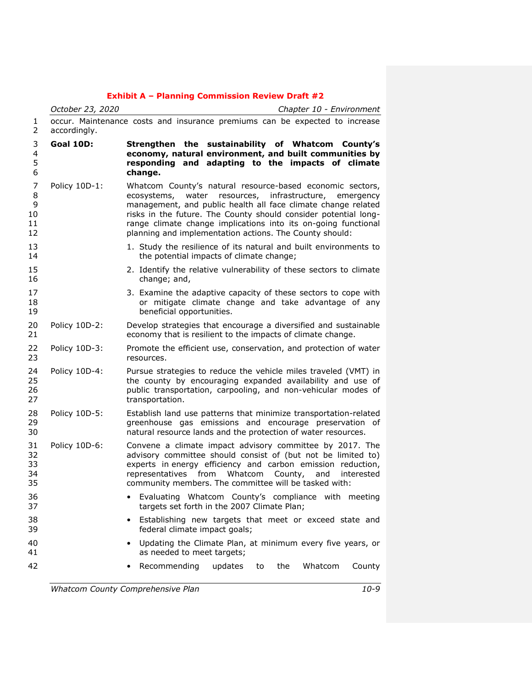|                               | October 23, 2020 | Chapter 10 - Environment                                                                                                                                                                                                                                                                                                                                                                |
|-------------------------------|------------------|-----------------------------------------------------------------------------------------------------------------------------------------------------------------------------------------------------------------------------------------------------------------------------------------------------------------------------------------------------------------------------------------|
| 1<br>2                        | accordingly.     | occur. Maintenance costs and insurance premiums can be expected to increase                                                                                                                                                                                                                                                                                                             |
| 3<br>4<br>5<br>6              | <b>Goal 10D:</b> | Strengthen the sustainability of Whatcom County's<br>economy, natural environment, and built communities by<br>responding and adapting to the impacts of climate<br>change.                                                                                                                                                                                                             |
| 7<br>8<br>9<br>10<br>11<br>12 | Policy 10D-1:    | Whatcom County's natural resource-based economic sectors,<br>ecosystems,<br>water resources, infrastructure, emergency<br>management, and public health all face climate change related<br>risks in the future. The County should consider potential long-<br>range climate change implications into its on-going functional<br>planning and implementation actions. The County should: |
| 13<br>14                      |                  | 1. Study the resilience of its natural and built environments to<br>the potential impacts of climate change;                                                                                                                                                                                                                                                                            |
| 15<br>16                      |                  | 2. Identify the relative vulnerability of these sectors to climate<br>change; and,                                                                                                                                                                                                                                                                                                      |
| 17<br>18<br>19                |                  | 3. Examine the adaptive capacity of these sectors to cope with<br>or mitigate climate change and take advantage of any<br>beneficial opportunities.                                                                                                                                                                                                                                     |
| 20<br>21                      | Policy 10D-2:    | Develop strategies that encourage a diversified and sustainable<br>economy that is resilient to the impacts of climate change.                                                                                                                                                                                                                                                          |
| 22<br>23                      | Policy 10D-3:    | Promote the efficient use, conservation, and protection of water<br>resources.                                                                                                                                                                                                                                                                                                          |
| 24<br>25<br>26<br>27          | Policy 10D-4:    | Pursue strategies to reduce the vehicle miles traveled (VMT) in<br>the county by encouraging expanded availability and use of<br>public transportation, carpooling, and non-vehicular modes of<br>transportation.                                                                                                                                                                       |
| 28<br>29<br>30                | Policy 10D-5:    | Establish land use patterns that minimize transportation-related<br>greenhouse gas emissions and encourage preservation of<br>natural resource lands and the protection of water resources.                                                                                                                                                                                             |
| 31<br>32<br>33<br>34<br>35    | Policy 10D-6:    | Convene a climate impact advisory committee by 2017. The<br>advisory committee should consist of (but not be limited to)<br>experts in energy efficiency and carbon emission reduction,<br>representatives from Whatcom County,<br>and<br>interested<br>community members. The committee will be tasked with:                                                                           |
| 36<br>37                      |                  | Evaluating Whatcom County's compliance with meeting<br>targets set forth in the 2007 Climate Plan;                                                                                                                                                                                                                                                                                      |
| 38<br>39                      |                  | Establishing new targets that meet or exceed state and<br>federal climate impact goals;                                                                                                                                                                                                                                                                                                 |
| 40<br>41                      |                  | Updating the Climate Plan, at minimum every five years, or<br>as needed to meet targets;                                                                                                                                                                                                                                                                                                |
| 42                            |                  | Recommending<br>updates<br>the<br>Whatcom<br>County<br>to                                                                                                                                                                                                                                                                                                                               |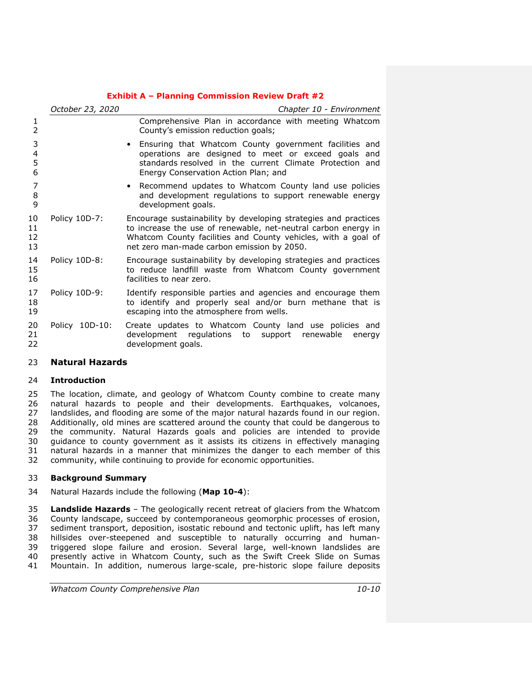|                      | October 23, 2020 | Chapter 10 - Environment                                                                                                                                                                                                                         |
|----------------------|------------------|--------------------------------------------------------------------------------------------------------------------------------------------------------------------------------------------------------------------------------------------------|
| 1<br>$\overline{2}$  |                  | Comprehensive Plan in accordance with meeting Whatcom<br>County's emission reduction goals;                                                                                                                                                      |
| 3<br>4<br>5<br>6     |                  | Ensuring that Whatcom County government facilities and<br>operations are designed to meet or exceed goals and<br>standards resolved in the current Climate Protection and<br>Energy Conservation Action Plan; and                                |
| 7<br>8<br>9          |                  | • Recommend updates to Whatcom County land use policies<br>and development regulations to support renewable energy<br>development goals.                                                                                                         |
| 10<br>11<br>12<br>13 | Policy 10D-7:    | Encourage sustainability by developing strategies and practices<br>to increase the use of renewable, net-neutral carbon energy in<br>Whatcom County facilities and County vehicles, with a goal of<br>net zero man-made carbon emission by 2050. |
| 14<br>15<br>16       | Policy 10D-8:    | Encourage sustainability by developing strategies and practices<br>to reduce landfill waste from Whatcom County government<br>facilities to near zero.                                                                                           |
| 17<br>18<br>19       | Policy 10D-9:    | Identify responsible parties and agencies and encourage them<br>to identify and properly seal and/or burn methane that is<br>escaping into the atmosphere from wells.                                                                            |
| 20<br>21<br>22       | Policy 10D-10:   | Create updates to Whatcom County land use policies and<br>development regulations<br>to<br>support renewable<br>energy<br>development goals.                                                                                                     |

# **Natural Hazards**

#### **Introduction**

 The location, climate, and geology of Whatcom County combine to create many natural hazards to people and their developments. Earthquakes, volcanoes, landslides, and flooding are some of the major natural hazards found in our region. Additionally, old mines are scattered around the county that could be dangerous to the community. Natural Hazards goals and policies are intended to provide guidance to county government as it assists its citizens in effectively managing natural hazards in a manner that minimizes the danger to each member of this community, while continuing to provide for economic opportunities.

# **Background Summary**

Natural Hazards include the following (**Map 10-4**):

 **Landslide Hazards** – The geologically recent retreat of glaciers from the Whatcom County landscape, succeed by contemporaneous geomorphic processes of erosion, sediment transport, deposition, isostatic rebound and tectonic uplift, has left many hillsides over-steepened and susceptible to naturally occurring and human-39 triggered slope failure and erosion. Several large, well-known landslides are<br>40 presently active in Whatcom County, such as the Swift Creek Slide on Sumas presently active in Whatcom County, such as the Swift Creek Slide on Sumas Mountain. In addition, numerous large-scale, pre-historic slope failure deposits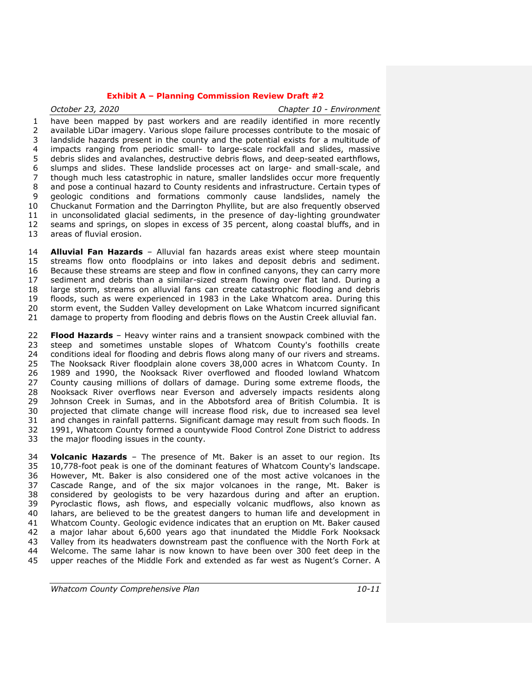*October 23, 2020 Chapter 10 - Environment* have been mapped by past workers and are readily identified in more recently available LiDar imagery. Various slope failure processes contribute to the mosaic of landslide hazards present in the county and the potential exists for a multitude of impacts ranging from periodic small- to large-scale rockfall and slides, massive debris slides and avalanches, destructive debris flows, and deep-seated earthflows, slumps and slides. These landslide processes act on large- and small-scale, and though much less catastrophic in nature, smaller landslides occur more frequently and pose a continual hazard to County residents and infrastructure. Certain types of geologic conditions and formations commonly cause landslides, namely the Chuckanut Formation and the Darrington Phyllite, but are also frequently observed in unconsolidated glacial sediments, in the presence of day-lighting groundwater seams and springs, on slopes in excess of 35 percent, along coastal bluffs, and in areas of fluvial erosion.

 **Alluvial Fan Hazards** – Alluvial fan hazards areas exist where steep mountain streams flow onto floodplains or into lakes and deposit debris and sediment. Because these streams are steep and flow in confined canyons, they can carry more sediment and debris than a similar-sized stream flowing over flat land. During a large storm, streams on alluvial fans can create catastrophic flooding and debris floods, such as were experienced in 1983 in the Lake Whatcom area. During this storm event, the Sudden Valley development on Lake Whatcom incurred significant damage to property from flooding and debris flows on the Austin Creek alluvial fan.

 **Flood Hazards** – Heavy winter rains and a transient snowpack combined with the steep and sometimes unstable slopes of Whatcom County's foothills create 24 conditions ideal for flooding and debris flows along many of our rivers and streams.<br>25 The Nooksack River floodplain alone covers 38,000 acres in Whatcom County. In The Nooksack River floodplain alone covers 38,000 acres in Whatcom County. In 1989 and 1990, the Nooksack River overflowed and flooded lowland Whatcom County causing millions of dollars of damage. During some extreme floods, the Nooksack River overflows near Everson and adversely impacts residents along Johnson Creek in Sumas, and in the Abbotsford area of British Columbia. It is projected that climate change will increase flood risk, due to increased sea level and changes in rainfall patterns. Significant damage may result from such floods. In 1991, Whatcom County formed a countywide Flood Control Zone District to address the major flooding issues in the county.

 **Volcanic Hazards** – The presence of Mt. Baker is an asset to our region. Its 10,778-foot peak is one of the dominant features of Whatcom County's landscape. However, Mt. Baker is also considered one of the most active volcanoes in the Cascade Range, and of the six major volcanoes in the range, Mt. Baker is considered by geologists to be very hazardous during and after an eruption. Pyroclastic flows, ash flows, and especially volcanic mudflows, also known as lahars, are believed to be the greatest dangers to human life and development in Whatcom County. Geologic evidence indicates that an eruption on Mt. Baker caused a major lahar about 6,600 years ago that inundated the Middle Fork Nooksack Valley from its headwaters downstream past the confluence with the North Fork at Welcome. The same lahar is now known to have been over 300 feet deep in the upper reaches of the Middle Fork and extended as far west as Nugent's Corner. A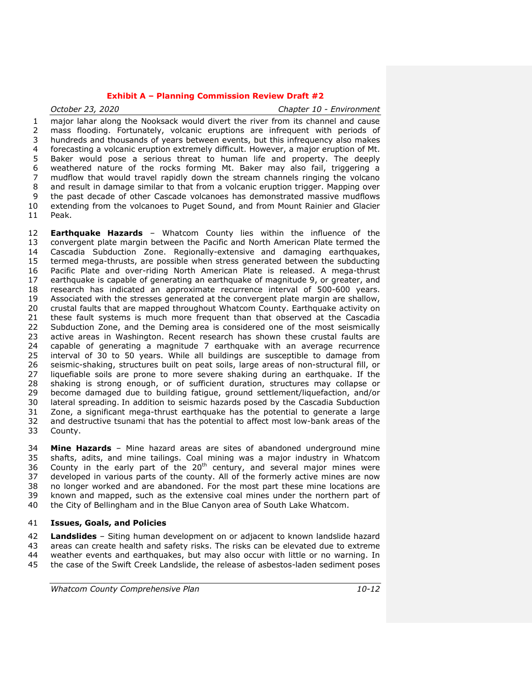*October 23, 2020 Chapter 10 - Environment* major lahar along the Nooksack would divert the river from its channel and cause mass flooding. Fortunately, volcanic eruptions are infrequent with periods of hundreds and thousands of years between events, but this infrequency also makes forecasting a volcanic eruption extremely difficult. However, a major eruption of Mt. Baker would pose a serious threat to human life and property. The deeply weathered nature of the rocks forming Mt. Baker may also fail, triggering a mudflow that would travel rapidly down the stream channels ringing the volcano and result in damage similar to that from a volcanic eruption trigger. Mapping over the past decade of other Cascade volcanoes has demonstrated massive mudflows extending from the volcanoes to Puget Sound, and from Mount Rainier and Glacier Peak.

 **Earthquake Hazards** – Whatcom County lies within the influence of the convergent plate margin between the Pacific and North American Plate termed the Cascadia Subduction Zone. Regionally-extensive and damaging earthquakes, termed mega-thrusts, are possible when stress generated between the subducting Pacific Plate and over-riding North American Plate is released. A mega-thrust earthquake is capable of generating an earthquake of magnitude 9, or greater, and research has indicated an approximate recurrence interval of 500-600 years. Associated with the stresses generated at the convergent plate margin are shallow, crustal faults that are mapped throughout Whatcom County. Earthquake activity on these fault systems is much more frequent than that observed at the Cascadia Subduction Zone, and the Deming area is considered one of the most seismically active areas in Washington. Recent research has shown these crustal faults are capable of generating a magnitude 7 earthquake with an average recurrence interval of 30 to 50 years. While all buildings are susceptible to damage from seismic-shaking, structures built on peat soils, large areas of non-structural fill, or liquefiable soils are prone to more severe shaking during an earthquake. If the shaking is strong enough, or of sufficient duration, structures may collapse or become damaged due to building fatigue, ground settlement/liquefaction, and/or lateral spreading. In addition to seismic hazards posed by the Cascadia Subduction Zone, a significant mega-thrust earthquake has the potential to generate a large 32 and destructive tsunami that has the potential to affect most low-bank areas of the 33 County. County.

 **Mine Hazards** – Mine hazard areas are sites of abandoned underground mine shafts, adits, and mine tailings. Coal mining was a major industry in Whatcom 36 County in the early part of the  $20<sup>th</sup>$  century, and several major mines were developed in various parts of the county. All of the formerly active mines are now no longer worked and are abandoned. For the most part these mine locations are known and mapped, such as the extensive coal mines under the northern part of the City of Bellingham and in the Blue Canyon area of South Lake Whatcom.

# **Issues, Goals, and Policies**

 **Landslides** – Siting human development on or adjacent to known landslide hazard areas can create health and safety risks. The risks can be elevated due to extreme weather events and earthquakes, but may also occur with little or no warning. In the case of the Swift Creek Landslide, the release of asbestos-laden sediment poses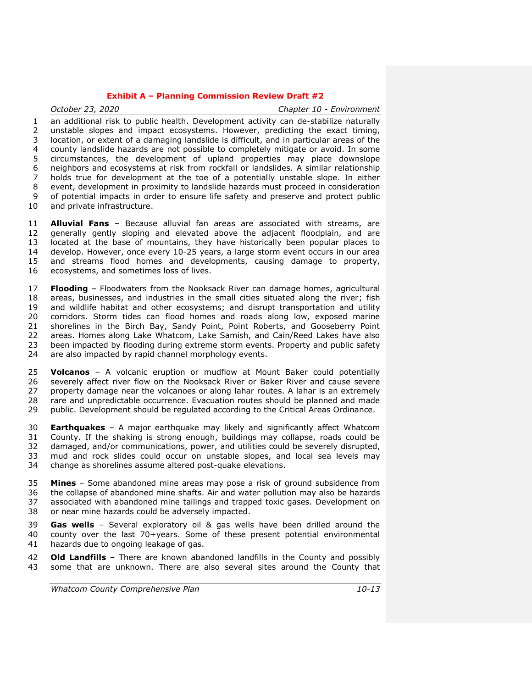*October 23, 2020 Chapter 10 - Environment* an additional risk to public health. Development activity can de-stabilize naturally unstable slopes and impact ecosystems. However, predicting the exact timing, location, or extent of a damaging landslide is difficult, and in particular areas of the county landslide hazards are not possible to completely mitigate or avoid. In some circumstances, the development of upland properties may place downslope neighbors and ecosystems at risk from rockfall or landslides. A similar relationship holds true for development at the toe of a potentially unstable slope. In either event, development in proximity to landslide hazards must proceed in consideration of potential impacts in order to ensure life safety and preserve and protect public and private infrastructure.

 **Alluvial Fans** – Because alluvial fan areas are associated with streams, are generally gently sloping and elevated above the adjacent floodplain, and are located at the base of mountains, they have historically been popular places to develop. However, once every 10-25 years, a large storm event occurs in our area and streams flood homes and developments, causing damage to property, ecosystems, and sometimes loss of lives.

 **Flooding** – Floodwaters from the Nooksack River can damage homes, agricultural areas, businesses, and industries in the small cities situated along the river; fish and wildlife habitat and other ecosystems; and disrupt transportation and utility corridors. Storm tides can flood homes and roads along low, exposed marine shorelines in the Birch Bay, Sandy Point, Point Roberts, and Gooseberry Point areas. Homes along Lake Whatcom, Lake Samish, and Cain/Reed Lakes have also been impacted by flooding during extreme storm events. Property and public safety 24 are also impacted by rapid channel morphology events.

 **Volcanos** – A volcanic eruption or mudflow at Mount Baker could potentially severely affect river flow on the Nooksack River or Baker River and cause severe property damage near the volcanoes or along lahar routes. A lahar is an extremely rare and unpredictable occurrence. Evacuation routes should be planned and made public. Development should be regulated according to the Critical Areas Ordinance.

 **Earthquakes** – A major earthquake may likely and significantly affect Whatcom County. If the shaking is strong enough, buildings may collapse, roads could be damaged, and/or communications, power, and utilities could be severely disrupted, mud and rock slides could occur on unstable slopes, and local sea levels may change as shorelines assume altered post-quake elevations.

 **Mines** – Some abandoned mine areas may pose a risk of ground subsidence from the collapse of abandoned mine shafts. Air and water pollution may also be hazards associated with abandoned mine tailings and trapped toxic gases. Development on or near mine hazards could be adversely impacted.

 **Gas wells** – Several exploratory oil & gas wells have been drilled around the county over the last 70+years. Some of these present potential environmental hazards due to ongoing leakage of gas.

 **Old Landfills** – There are known abandoned landfills in the County and possibly some that are unknown. There are also several sites around the County that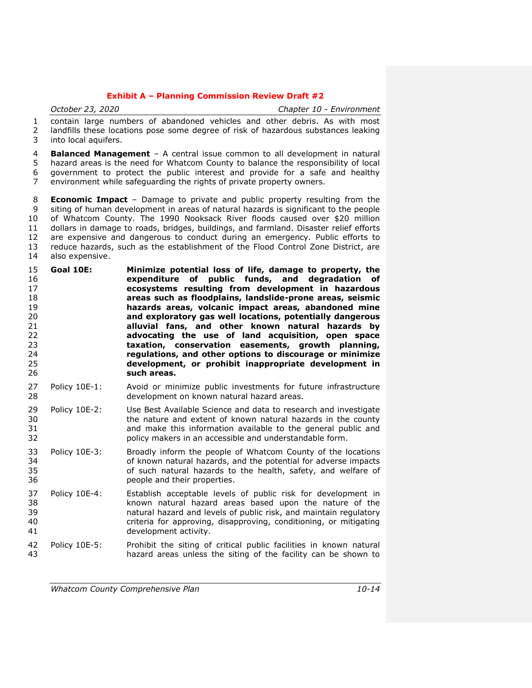*October 23, 2020 Chapter 10 - Environment* contain large numbers of abandoned vehicles and other debris. As with most landfills these locations pose some degree of risk of hazardous substances leaking into local aquifers.

 **Balanced Management** – A central issue common to all development in natural hazard areas is the need for Whatcom County to balance the responsibility of local government to protect the public interest and provide for a safe and healthy environment while safeguarding the rights of private property owners.

 **Economic Impact** – Damage to private and public property resulting from the siting of human development in areas of natural hazards is significant to the people of Whatcom County. The 1990 Nooksack River floods caused over \$20 million dollars in damage to roads, bridges, buildings, and farmland. Disaster relief efforts are expensive and dangerous to conduct during an emergency. Public efforts to reduce hazards, such as the establishment of the Flood Control Zone District, are also expensive.

- **Goal 10E: Minimize potential loss of life, damage to property, the expenditure of public funds, and degradation of ecosystems resulting from development in hazardous areas such as floodplains, landslide-prone areas, seismic hazards areas, volcanic impact areas, abandoned mine and exploratory gas well locations, potentially dangerous alluvial fans, and other known natural hazards by advocating the use of land acquisition, open space taxation, conservation easements, growth planning, regulations, and other options to discourage or minimize development, or prohibit inappropriate development in such areas.**
- Policy 10E-1: Avoid or minimize public investments for future infrastructure development on known natural hazard areas.
- Policy 10E-2: Use Best Available Science and data to research and investigate the nature and extent of known natural hazards in the county and make this information available to the general public and policy makers in an accessible and understandable form.
- Policy 10E-3: Broadly inform the people of Whatcom County of the locations of known natural hazards, and the potential for adverse impacts of such natural hazards to the health, safety, and welfare of people and their properties.
- Policy 10E-4: Establish acceptable levels of public risk for development in known natural hazard areas based upon the nature of the natural hazard and levels of public risk, and maintain regulatory criteria for approving, disapproving, conditioning, or mitigating development activity.
- Policy 10E-5: Prohibit the siting of critical public facilities in known natural hazard areas unless the siting of the facility can be shown to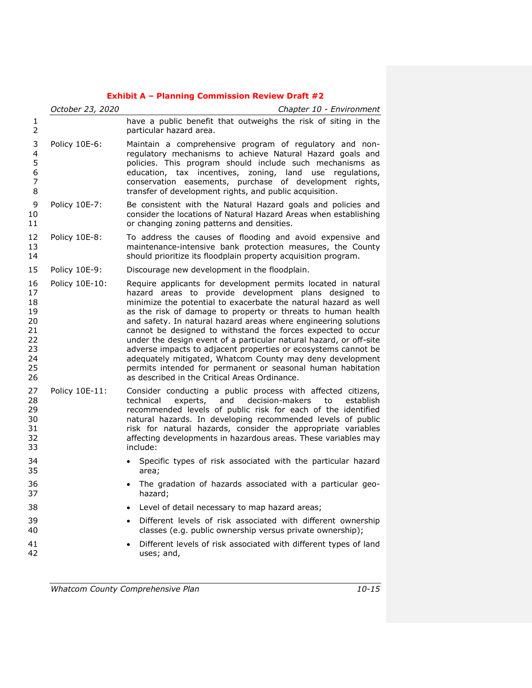|                                                                | October 23, 2020 | Chapter 10 - Environment                                                                                                                                                                                                                                                                                                                                                                                                                                                                                                                                                                                                                                                                                          |
|----------------------------------------------------------------|------------------|-------------------------------------------------------------------------------------------------------------------------------------------------------------------------------------------------------------------------------------------------------------------------------------------------------------------------------------------------------------------------------------------------------------------------------------------------------------------------------------------------------------------------------------------------------------------------------------------------------------------------------------------------------------------------------------------------------------------|
| 1<br>2                                                         |                  | have a public benefit that outweighs the risk of siting in the<br>particular hazard area.                                                                                                                                                                                                                                                                                                                                                                                                                                                                                                                                                                                                                         |
| 3<br>4<br>5<br>6<br>7<br>8                                     | Policy 10E-6:    | Maintain a comprehensive program of regulatory and non-<br>regulatory mechanisms to achieve Natural Hazard goals and<br>policies. This program should include such mechanisms as<br>education, tax incentives, zoning, land use regulations,<br>conservation easements, purchase of development rights,<br>transfer of development rights, and public acquisition.                                                                                                                                                                                                                                                                                                                                                |
| 9<br>10<br>11                                                  | Policy 10E-7:    | Be consistent with the Natural Hazard goals and policies and<br>consider the locations of Natural Hazard Areas when establishing<br>or changing zoning patterns and densities.                                                                                                                                                                                                                                                                                                                                                                                                                                                                                                                                    |
| 12<br>13<br>14                                                 | Policy 10E-8:    | To address the causes of flooding and avoid expensive and<br>maintenance-intensive bank protection measures, the County<br>should prioritize its floodplain property acquisition program.                                                                                                                                                                                                                                                                                                                                                                                                                                                                                                                         |
| 15                                                             | Policy 10E-9:    | Discourage new development in the floodplain.                                                                                                                                                                                                                                                                                                                                                                                                                                                                                                                                                                                                                                                                     |
| 16<br>17<br>18<br>19<br>20<br>21<br>22<br>23<br>24<br>25<br>26 | Policy 10E-10:   | Require applicants for development permits located in natural<br>hazard areas to provide development plans designed to<br>minimize the potential to exacerbate the natural hazard as well<br>as the risk of damage to property or threats to human health<br>and safety. In natural hazard areas where engineering solutions<br>cannot be designed to withstand the forces expected to occur<br>under the design event of a particular natural hazard, or off-site<br>adverse impacts to adjacent properties or ecosystems cannot be<br>adequately mitigated, Whatcom County may deny development<br>permits intended for permanent or seasonal human habitation<br>as described in the Critical Areas Ordinance. |
| 27<br>28<br>29<br>30<br>31<br>32<br>33                         | Policy 10E-11:   | Consider conducting a public process with affected citizens,<br>technical<br>experts, and<br>decision-makers<br>establish<br>to<br>recommended levels of public risk for each of the identified<br>natural hazards. In developing recommended levels of public<br>risk for natural hazards, consider the appropriate variables<br>affecting developments in hazardous areas. These variables may<br>include:                                                                                                                                                                                                                                                                                                      |
| 34<br>35                                                       |                  | Specific types of risk associated with the particular hazard<br>area;                                                                                                                                                                                                                                                                                                                                                                                                                                                                                                                                                                                                                                             |
| 36<br>37                                                       |                  | The gradation of hazards associated with a particular geo-<br>hazard;                                                                                                                                                                                                                                                                                                                                                                                                                                                                                                                                                                                                                                             |
| 38                                                             |                  | Level of detail necessary to map hazard areas;                                                                                                                                                                                                                                                                                                                                                                                                                                                                                                                                                                                                                                                                    |
| 39<br>40                                                       |                  | Different levels of risk associated with different ownership<br>classes (e.g. public ownership versus private ownership);                                                                                                                                                                                                                                                                                                                                                                                                                                                                                                                                                                                         |
| 41<br>42                                                       |                  | Different levels of risk associated with different types of land<br>uses; and,                                                                                                                                                                                                                                                                                                                                                                                                                                                                                                                                                                                                                                    |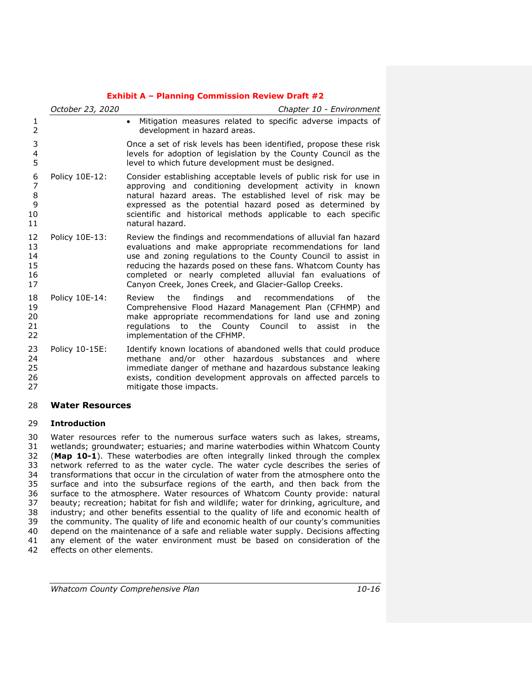|                                  | October 23, 2020 | Chapter 10 - Environment                                                                                                                                                                                                                                                                                                                                                           |
|----------------------------------|------------------|------------------------------------------------------------------------------------------------------------------------------------------------------------------------------------------------------------------------------------------------------------------------------------------------------------------------------------------------------------------------------------|
| 1<br>2                           |                  | Mitigation measures related to specific adverse impacts of<br>$\bullet$<br>development in hazard areas.                                                                                                                                                                                                                                                                            |
| 3<br>4<br>5                      |                  | Once a set of risk levels has been identified, propose these risk<br>levels for adoption of legislation by the County Council as the<br>level to which future development must be designed.                                                                                                                                                                                        |
| 6<br>7<br>8<br>9<br>10<br>11     | Policy 10E-12:   | Consider establishing acceptable levels of public risk for use in<br>approving and conditioning development activity in known<br>natural hazard areas. The established level of risk may be<br>expressed as the potential hazard posed as determined by<br>scientific and historical methods applicable to each specific<br>natural hazard.                                        |
| 12<br>13<br>14<br>15<br>16<br>17 | Policy 10E-13:   | Review the findings and recommendations of alluvial fan hazard<br>evaluations and make appropriate recommendations for land<br>use and zoning regulations to the County Council to assist in<br>reducing the hazards posed on these fans. Whatcom County has<br>completed or nearly completed alluvial fan evaluations of<br>Canyon Creek, Jones Creek, and Glacier-Gallop Creeks. |
| 18<br>19<br>20<br>21<br>22       | Policy 10E-14:   | findings and<br>the<br>recommendations<br>the<br>Review<br>of<br>Comprehensive Flood Hazard Management Plan (CFHMP) and<br>make appropriate recommendations for land use and zoning<br>regulations to the County Council<br>the<br>to<br>assist<br>in<br>implementation of the CFHMP.                                                                                              |
| 23<br>24<br>25<br>26<br>27       | Policy 10-15E:   | Identify known locations of abandoned wells that could produce<br>methane and/or other hazardous substances and where<br>immediate danger of methane and hazardous substance leaking<br>exists, condition development approvals on affected parcels to<br>mitigate those impacts.                                                                                                  |

# **Water Resources**

# **Introduction**

 Water resources refer to the numerous surface waters such as lakes, streams, wetlands; groundwater; estuaries; and marine waterbodies within Whatcom County (**Map 10-1**). These waterbodies are often integrally linked through the complex network referred to as the water cycle. The water cycle describes the series of transformations that occur in the circulation of water from the atmosphere onto the surface and into the subsurface regions of the earth, and then back from the surface to the atmosphere. Water resources of Whatcom County provide: natural beauty; recreation; habitat for fish and wildlife; water for drinking, agriculture, and industry; and other benefits essential to the quality of life and economic health of the community. The quality of life and economic health of our county's communities depend on the maintenance of a safe and reliable water supply. Decisions affecting any element of the water environment must be based on consideration of the effects on other elements.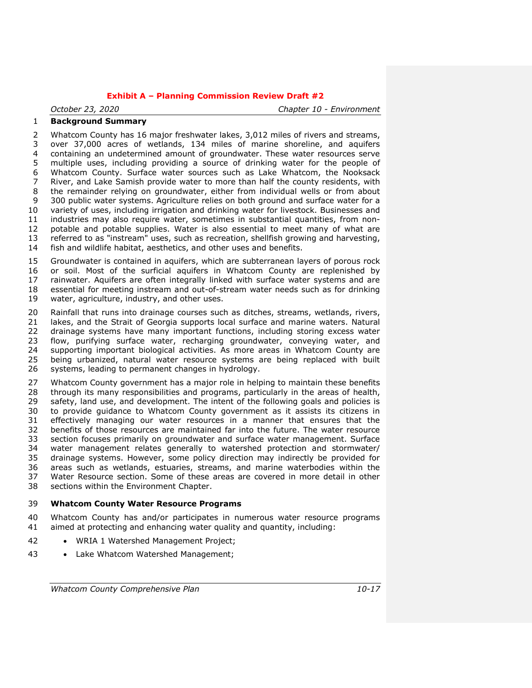*October 23, 2020 Chapter 10 - Environment*

# **Background Summary**

 Whatcom County has 16 major freshwater lakes, 3,012 miles of rivers and streams, over 37,000 acres of wetlands, 134 miles of marine shoreline, and aquifers containing an undetermined amount of groundwater. These water resources serve multiple uses, including providing a source of drinking water for the people of Whatcom County. Surface water sources such as Lake Whatcom, the Nooksack River, and Lake Samish provide water to more than half the county residents, with the remainder relying on groundwater, either from individual wells or from about 300 public water systems. Agriculture relies on both ground and surface water for a variety of uses, including irrigation and drinking water for livestock. Businesses and industries may also require water, sometimes in substantial quantities, from non- potable and potable supplies. Water is also essential to meet many of what are referred to as "instream" uses, such as recreation, shellfish growing and harvesting,

fish and wildlife habitat, aesthetics, and other uses and benefits.

 Groundwater is contained in aquifers, which are subterranean layers of porous rock or soil. Most of the surficial aquifers in Whatcom County are replenished by rainwater. Aquifers are often integrally linked with surface water systems and are essential for meeting instream and out-of-stream water needs such as for drinking water, agriculture, industry, and other uses.

 Rainfall that runs into drainage courses such as ditches, streams, wetlands, rivers, lakes, and the Strait of Georgia supports local surface and marine waters. Natural 22 drainage systems have many important functions, including storing excess water<br>23 flow, purifying surface water, recharging groundwater, conveying water, and flow, purifying surface water, recharging groundwater, conveying water, and supporting important biological activities. As more areas in Whatcom County are being urbanized, natural water resource systems are being replaced with built systems, leading to permanent changes in hydrology.

 Whatcom County government has a major role in helping to maintain these benefits through its many responsibilities and programs, particularly in the areas of health, 29 safety, land use, and development. The intent of the following goals and policies is to provide guidance to Whatcom County government as it assists its citizens in effectively managing our water resources in a manner that ensures that the benefits of those resources are maintained far into the future. The water resource section focuses primarily on groundwater and surface water management. Surface water management relates generally to watershed protection and stormwater/ drainage systems. However, some policy direction may indirectly be provided for areas such as wetlands, estuaries, streams, and marine waterbodies within the Water Resource section. Some of these areas are covered in more detail in other sections within the Environment Chapter.

# **Whatcom County Water Resource Programs**

 Whatcom County has and/or participates in numerous water resource programs aimed at protecting and enhancing water quality and quantity, including:

- 42 WRIA 1 Watershed Management Project;
- 43 Lake Whatcom Watershed Management;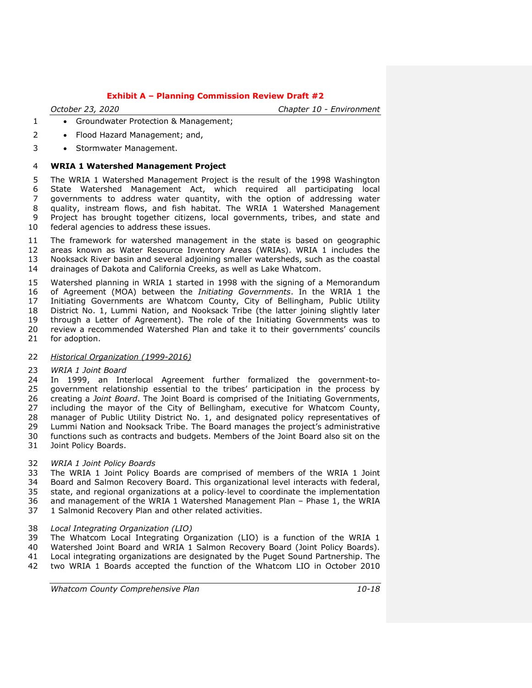*October 23, 2020 Chapter 10 - Environment*

- 1 Groundwater Protection & Management:
- 2 Flood Hazard Management; and,
- 3 Stormwater Management.

#### **WRIA 1 Watershed Management Project**

 The WRIA 1 Watershed Management Project is the result of the 1998 Washington State Watershed Management Act, which required all participating local governments to address water quantity, with the option of addressing water quality, instream flows, and fish habitat. The WRIA 1 Watershed Management Project has brought together citizens, local governments, tribes, and state and federal agencies to address these issues.

 The framework for watershed management in the state is based on geographic areas known as Water Resource Inventory Areas (WRIAs). WRIA 1 includes the Nooksack River basin and several adjoining smaller watersheds, such as the coastal drainages of Dakota and California Creeks, as well as Lake Whatcom.

 Watershed planning in WRIA 1 started in 1998 with the signing of a Memorandum of Agreement (MOA) between the *Initiating Governments*. In the WRIA 1 the Initiating Governments are Whatcom County, City of Bellingham, Public Utility District No. 1, Lummi Nation, and Nooksack Tribe (the latter joining slightly later through a Letter of Agreement). The role of the Initiating Governments was to 20 review a recommended Watershed Plan and take it to their governments' councils 21 for adoption. for adoption.

#### *Historical Organization (1999-2016)*

# *WRIA 1 Joint Board*

 In 1999, an Interlocal Agreement further formalized the government-to- government relationship essential to the tribes' participation in the process by creating a *Joint Board*. The Joint Board is comprised of the Initiating Governments, including the mayor of the City of Bellingham, executive for Whatcom County, manager of Public Utility District No. 1, and designated policy representatives of Lummi Nation and Nooksack Tribe. The Board manages the project's administrative functions such as contracts and budgets. Members of the Joint Board also sit on the Joint Policy Boards.

# *WRIA 1 Joint Policy Boards*

 The WRIA 1 Joint Policy Boards are comprised of members of the WRIA 1 Joint Board and Salmon Recovery Board. This organizational level interacts with federal, state, and regional organizations at a policy‐level to coordinate the implementation and management of the WRIA 1 Watershed Management Plan – Phase 1, the WRIA 1 Salmonid Recovery Plan and other related activities.

#### *Local Integrating Organization (LIO)*

39 The Whatcom Local Integrating Organization (LIO) is a function of the WRIA 1<br>40 Watershed Joint Board and WRIA 1 Salmon Recovery Board (Joint Policy Boards). Watershed Joint Board and WRIA 1 Salmon Recovery Board (Joint Policy Boards). Local integrating organizations are designated by the Puget Sound Partnership. The two WRIA 1 Boards accepted the function of the Whatcom LIO in October 2010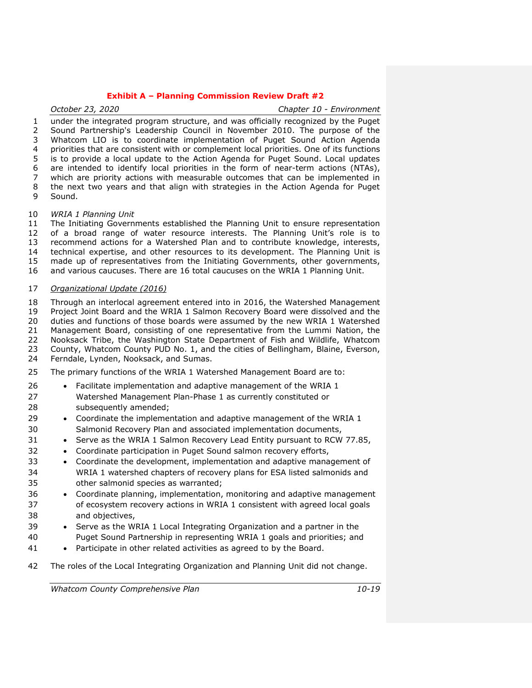*October 23, 2020 Chapter 10 - Environment* under the integrated program structure, and was officially recognized by the Puget Sound Partnership's Leadership Council in November 2010. The purpose of the Whatcom LIO is to coordinate implementation of Puget Sound Action Agenda priorities that are consistent with or complement local priorities. One of its functions is to provide a local update to the Action Agenda for Puget Sound. Local updates are intended to identify local priorities in the form of near-term actions (NTAs), which are priority actions with measurable outcomes that can be implemented in the next two years and that align with strategies in the Action Agenda for Puget Sound.

#### *WRIA 1 Planning Unit*

 The Initiating Governments established the Planning Unit to ensure representation of a broad range of water resource interests. The Planning Unit's role is to recommend actions for a Watershed Plan and to contribute knowledge, interests, technical expertise, and other resources to its development. The Planning Unit is made up of representatives from the Initiating Governments, other governments,

and various caucuses. There are 16 total caucuses on the WRIA 1 Planning Unit.

#### *Organizational Update (2016)*

 Through an interlocal agreement entered into in 2016, the Watershed Management Project Joint Board and the WRIA 1 Salmon Recovery Board were dissolved and the duties and functions of those boards were assumed by the new WRIA 1 Watershed Management Board, consisting of one representative from the Lummi Nation, the 22 Nooksack Tribe, the Washington State Department of Fish and Wildlife, Whatcom<br>23 County, Whatcom County PUD No. 1, and the cities of Bellingham, Blaine, Everson, County, Whatcom County PUD No. 1, and the cities of Bellingham, Blaine, Everson, Ferndale, Lynden, Nooksack, and Sumas.

The primary functions of the WRIA 1 Watershed Management Board are to:

- Facilitate implementation and adaptive management of the WRIA 1 Watershed Management Plan-Phase 1 as currently constituted or 28 subsequently amended:
- 29 Coordinate the implementation and adaptive management of the WRIA 1 Salmonid Recovery Plan and associated implementation documents,
- 31 Serve as the WRIA 1 Salmon Recovery Lead Entity pursuant to RCW 77.85,
- 32 Coordinate participation in Puget Sound salmon recovery efforts,
- Coordinate the development, implementation and adaptive management of WRIA 1 watershed chapters of recovery plans for ESA listed salmonids and other salmonid species as warranted;
- Coordinate planning, implementation, monitoring and adaptive management of ecosystem recovery actions in WRIA 1 consistent with agreed local goals and objectives,
- Serve as the WRIA 1 Local Integrating Organization and a partner in the Puget Sound Partnership in representing WRIA 1 goals and priorities; and
- Participate in other related activities as agreed to by the Board.
- The roles of the Local Integrating Organization and Planning Unit did not change.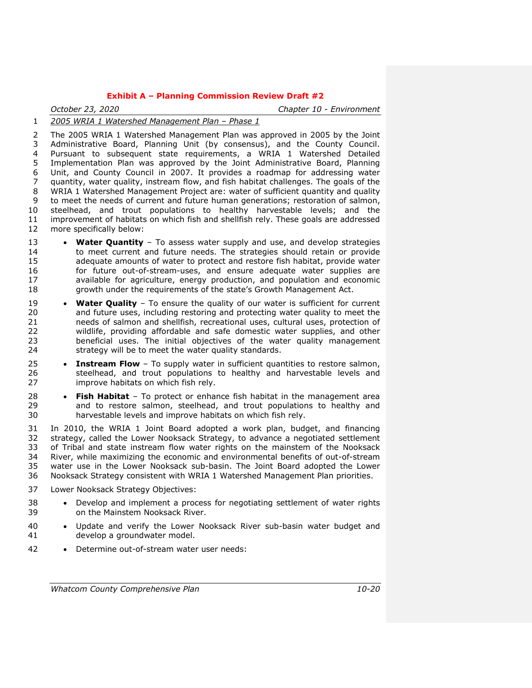*October 23, 2020 Chapter 10 - Environment*

*2005 WRIA 1 Watershed Management Plan – Phase 1*

 The 2005 WRIA 1 [Watershed Management Plan](http://wria1project.whatcomcounty.org/64.aspx#wmp) was approved in 2005 by the Joint Administrative Board, Planning Unit (by consensus), and the County Council. Pursuant to subsequent state requirements, a WRIA 1 Watershed Detailed Implementation Plan was approved by the Joint Administrative Board, Planning Unit, and County Council in 2007. It provides a roadmap for addressing water quantity, water quality, instream flow, and fish habitat challenges. The goals of the WRIA 1 Watershed Management Project are: water of sufficient quantity and quality to meet the needs of current and future human generations; restoration of salmon, steelhead, and trout populations to healthy harvestable levels; and the improvement of habitats on which fish and shellfish rely. These goals are addressed more specifically below:

- **Water Quantity** To assess water supply and use, and develop strategies to meet current and future needs. The strategies should retain or provide adequate amounts of water to protect and restore fish habitat, provide water for future out-of-stream-uses, and ensure adequate water supplies are available for agriculture, energy production, and population and economic growth under the requirements of the state's Growth Management Act.
- **Water Quality** To ensure the quality of our water is sufficient for current and future uses, including restoring and protecting water quality to meet the needs of salmon and shellfish, recreational uses, cultural uses, protection of 22 wildlife, providing affordable and safe domestic water supplies, and other<br>23 beneficial uses. The initial objectives of the water quality management beneficial uses. The initial objectives of the water quality management strategy will be to meet the water quality standards.
- **Instream Flow** To supply water in sufficient quantities to restore salmon, 26 steelhead, and trout populations to healthy and harvestable levels and improve habitats on which fish rely.
- **Fish Habitat** To protect or enhance fish habitat in the management area and to restore salmon, steelhead, and trout populations to healthy and harvestable levels and improve habitats on which fish rely.

 In 2010, the WRIA 1 Joint Board adopted a work plan, budget, and financing strategy, called the Lower Nooksack Strategy, to advance a negotiated settlement of Tribal and state instream flow water rights on the mainstem of the Nooksack River, while maximizing the economic and environmental benefits of out-of-stream water use in the Lower Nooksack sub-basin. The Joint Board adopted the Lower Nooksack Strategy consistent with WRIA 1 Watershed Management Plan priorities.

- Lower Nooksack Strategy Objectives:
- Develop and implement a process for negotiating settlement of water rights on the Mainstem Nooksack River.
- 40 Update and verify the Lower Nooksack River sub-basin water budget and develop a groundwater model.
- Determine out-of-stream water user needs: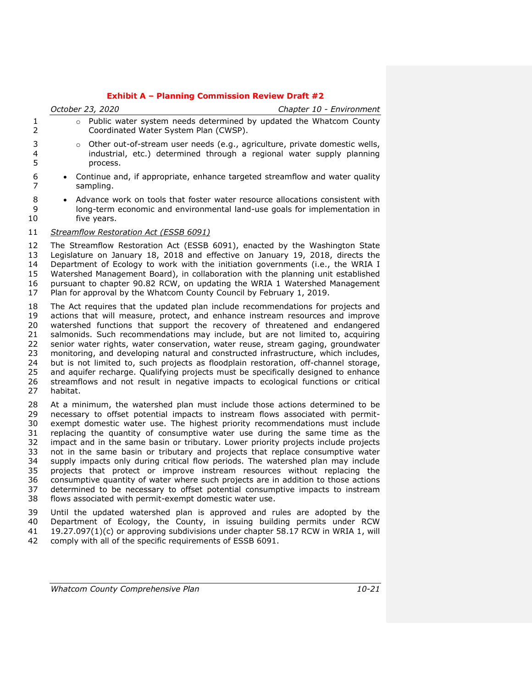|                                                          | October 23, 2020                                                                                                                                                                                                                                                                                                                                                                                                                                                                                                                                                                                                                                                                                                                                                                                                                                 | Chapter 10 - Environment                                                                                                                                  |
|----------------------------------------------------------|--------------------------------------------------------------------------------------------------------------------------------------------------------------------------------------------------------------------------------------------------------------------------------------------------------------------------------------------------------------------------------------------------------------------------------------------------------------------------------------------------------------------------------------------------------------------------------------------------------------------------------------------------------------------------------------------------------------------------------------------------------------------------------------------------------------------------------------------------|-----------------------------------------------------------------------------------------------------------------------------------------------------------|
| 1<br>$\overline{2}$                                      | $\circ$<br>Coordinated Water System Plan (CWSP).                                                                                                                                                                                                                                                                                                                                                                                                                                                                                                                                                                                                                                                                                                                                                                                                 | Public water system needs determined by updated the Whatcom County                                                                                        |
| 3<br>4<br>5                                              | $\circ$<br>process.                                                                                                                                                                                                                                                                                                                                                                                                                                                                                                                                                                                                                                                                                                                                                                                                                              | Other out-of-stream user needs (e.g., agriculture, private domestic wells,<br>industrial, etc.) determined through a regional water supply planning       |
| 6<br>$\overline{7}$                                      | sampling.                                                                                                                                                                                                                                                                                                                                                                                                                                                                                                                                                                                                                                                                                                                                                                                                                                        | Continue and, if appropriate, enhance targeted streamflow and water quality                                                                               |
| 8<br>9<br>10                                             | $\bullet$<br>five years.                                                                                                                                                                                                                                                                                                                                                                                                                                                                                                                                                                                                                                                                                                                                                                                                                         | Advance work on tools that foster water resource allocations consistent with<br>long-term economic and environmental land-use goals for implementation in |
| 11                                                       | Streamflow Restoration Act (ESSB 6091)                                                                                                                                                                                                                                                                                                                                                                                                                                                                                                                                                                                                                                                                                                                                                                                                           |                                                                                                                                                           |
| 12<br>13<br>14<br>15<br>16<br>17                         | The Streamflow Restoration Act (ESSB 6091), enacted by the Washington State<br>Legislature on January 18, 2018 and effective on January 19, 2018, directs the<br>Department of Ecology to work with the initiation governments (i.e., the WRIA I<br>Watershed Management Board), in collaboration with the planning unit established<br>pursuant to chapter 90.82 RCW, on updating the WRIA 1 Watershed Management<br>Plan for approval by the Whatcom County Council by February 1, 2019.                                                                                                                                                                                                                                                                                                                                                       |                                                                                                                                                           |
| 18<br>19<br>20<br>21<br>22<br>23<br>24<br>25<br>26<br>27 | The Act requires that the updated plan include recommendations for projects and<br>actions that will measure, protect, and enhance instream resources and improve<br>watershed functions that support the recovery of threatened and endangered<br>salmonids. Such recommendations may include, but are not limited to, acquiring<br>senior water rights, water conservation, water reuse, stream gaging, groundwater<br>monitoring, and developing natural and constructed infrastructure, which includes,<br>but is not limited to, such projects as floodplain restoration, off-channel storage,<br>and aquifer recharge. Qualifying projects must be specifically designed to enhance<br>streamflows and not result in negative impacts to ecological functions or critical<br>habitat.                                                      |                                                                                                                                                           |
| 28<br>29<br>30<br>31<br>32<br>33<br>34<br>35<br>36<br>37 | At a minimum, the watershed plan must include those actions determined to be<br>necessary to offset potential impacts to instream flows associated with permit-<br>exempt domestic water use. The highest priority recommendations must include<br>replacing the quantity of consumptive water use during the same time as the<br>impact and in the same basin or tributary. Lower priority projects include projects<br>not in the same basin or tributary and projects that replace consumptive water<br>supply impacts only during critical flow periods. The watershed plan may include<br>projects that protect or improve instream resources without replacing the<br>consumptive quantity of water where such projects are in addition to those actions<br>determined to be necessary to offset potential consumptive impacts to instream |                                                                                                                                                           |

flows associated with permit-exempt domestic water use.

39 Until the updated watershed plan is approved and rules are adopted by the 40 Department of Ecology, the County, in issuing building permits under RCW 40 Department of Ecology, the County, in issuing building permits under RCW<br>41 19.27.097(1)(c) or approving subdivisions under chapter 58.17 RCW in WRIA 1, will 41 19.27.097(1)(c) or approving subdivisions under chapter 58.17 RCW in WRIA 1, will<br>42 comply with all of the specific requirements of ESSB 6091. comply with all of the specific requirements of ESSB 6091.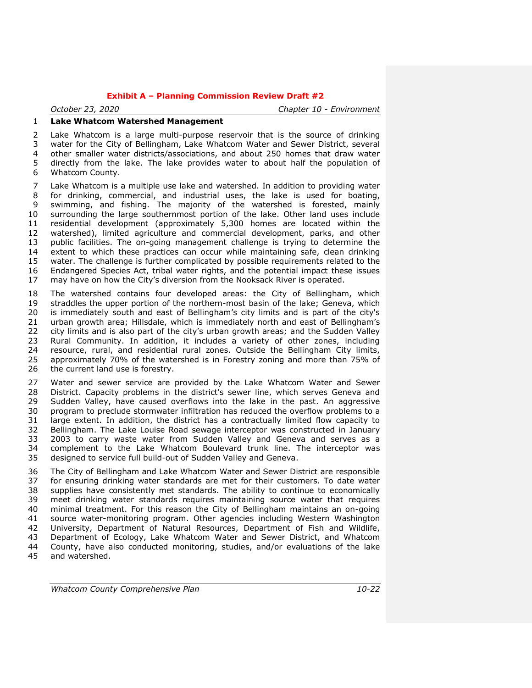*October 23, 2020 Chapter 10 - Environment*

# **Lake Whatcom Watershed Management**

 Lake Whatcom is a large multi-purpose reservoir that is the source of drinking water for the City of Bellingham, Lake Whatcom Water and Sewer District, several other smaller water districts/associations, and about 250 homes that draw water directly from the lake. The lake provides water to about half the population of Whatcom County.

 Lake Whatcom is a multiple use lake and watershed. In addition to providing water for drinking, commercial, and industrial uses, the lake is used for boating, swimming, and fishing. The majority of the watershed is forested, mainly surrounding the large southernmost portion of the lake. Other land uses include residential development (approximately 5,300 homes are located within the watershed), limited agriculture and commercial development, parks, and other public facilities. The on-going management challenge is trying to determine the extent to which these practices can occur while maintaining safe, clean drinking water. The challenge is further complicated by possible requirements related to the Endangered Species Act, tribal water rights, and the potential impact these issues may have on how the City's diversion from the Nooksack River is operated.

 The watershed contains four developed areas: the City of Bellingham, which straddles the upper portion of the northern-most basin of the lake; Geneva, which is immediately south and east of Bellingham's city limits and is part of the city's urban growth area; Hillsdale, which is immediately north and east of Bellingham's 22 city limits and is also part of the city's urban growth areas; and the Sudden Valley<br>23 Rural Community. In addition, it includes a variety of other zones, including Rural Community. In addition, it includes a variety of other zones, including resource, rural, and residential rural zones. Outside the Bellingham City limits, approximately 70% of the watershed is in Forestry zoning and more than 75% of the current land use is forestry.

 Water and sewer service are provided by the Lake Whatcom Water and Sewer District. Capacity problems in the district's sewer line, which serves Geneva and Sudden Valley, have caused overflows into the lake in the past. An aggressive program to preclude stormwater infiltration has reduced the overflow problems to a large extent. In addition, the district has a contractually limited flow capacity to Bellingham. The Lake Louise Road sewage interceptor was constructed in January 2003 to carry waste water from Sudden Valley and Geneva and serves as a complement to the Lake Whatcom Boulevard trunk line. The interceptor was designed to service full build-out of Sudden Valley and Geneva.

 The City of Bellingham and Lake Whatcom Water and Sewer District are responsible for ensuring drinking water standards are met for their customers. To date water supplies have consistently met standards. The ability to continue to economically meet drinking water standards requires maintaining source water that requires minimal treatment. For this reason the City of Bellingham maintains an on-going source water-monitoring program. Other agencies including Western Washington University, Department of Natural Resources, Department of Fish and Wildlife, Department of Ecology, Lake Whatcom Water and Sewer District, and Whatcom County, have also conducted monitoring, studies, and/or evaluations of the lake and watershed.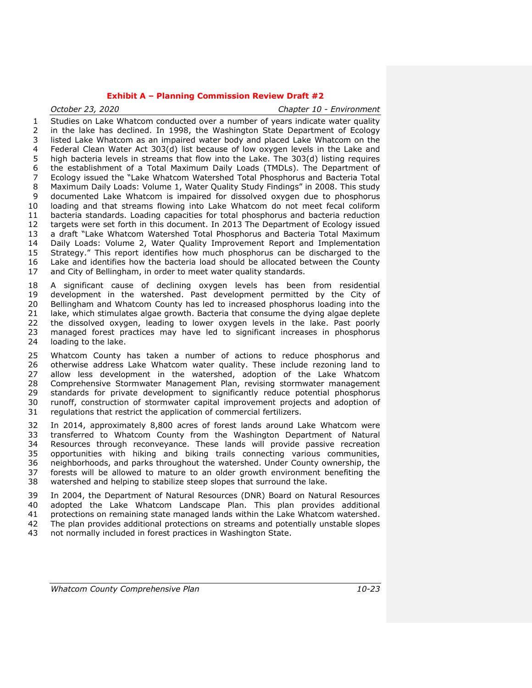*October 23, 2020 Chapter 10 - Environment* Studies on Lake Whatcom conducted over a number of years indicate water quality in the lake has declined. In 1998, the Washington State Department of Ecology listed Lake Whatcom as an impaired water body and placed Lake Whatcom on the Federal Clean Water Act 303(d) list because of low oxygen levels in the Lake and high bacteria levels in streams that flow into the Lake. The 303(d) listing requires the establishment of a Total Maximum Daily Loads (TMDLs). The Department of Ecology issued the "Lake Whatcom Watershed Total Phosphorus and Bacteria Total Maximum Daily Loads: Volume 1, Water Quality Study Findings" in 2008. This study 9 documented Lake Whatcom is impaired for dissolved oxygen due to phosphorus loading and that streams flowing into Lake Whatcom do not meet fecal coliform bacteria standards. Loading capacities for total phosphorus and bacteria reduction targets were set forth in this document. In 2013 The Department of Ecology issued a draft "Lake Whatcom Watershed Total Phosphorus and Bacteria Total Maximum Daily Loads: Volume 2, Water Quality Improvement Report and Implementation Strategy." This report identifies how much phosphorus can be discharged to the Lake and identifies how the bacteria load should be allocated between the County and City of Bellingham, in order to meet water quality standards.

 A significant cause of declining oxygen levels has been from residential development in the watershed. Past development permitted by the City of Bellingham and Whatcom County has led to increased phosphorus loading into the lake, which stimulates algae growth. Bacteria that consume the dying algae deplete the dissolved oxygen, leading to lower oxygen levels in the lake. Past poorly managed forest practices may have led to significant increases in phosphorus loading to the lake.

 Whatcom County has taken a number of actions to reduce phosphorus and otherwise address Lake Whatcom water quality. These include rezoning land to allow less development in the watershed, adoption of the Lake Whatcom Comprehensive Stormwater Management Plan, revising stormwater management standards for private development to significantly reduce potential phosphorus runoff, construction of stormwater capital improvement projects and adoption of regulations that restrict the application of commercial fertilizers.

 In 2014, approximately 8,800 acres of forest lands around Lake Whatcom were transferred to Whatcom County from the Washington Department of Natural Resources through reconveyance. These lands will provide passive recreation opportunities with hiking and biking trails connecting various communities, neighborhoods, and parks throughout the watershed. Under County ownership, the forests will be allowed to mature to an older growth environment benefiting the watershed and helping to stabilize steep slopes that surround the lake.

 In 2004, the Department of Natural Resources (DNR) Board on Natural Resources adopted the Lake Whatcom Landscape Plan. This plan provides additional protections on remaining state managed lands within the Lake Whatcom watershed. The plan provides additional protections on streams and potentially unstable slopes not normally included in forest practices in Washington State.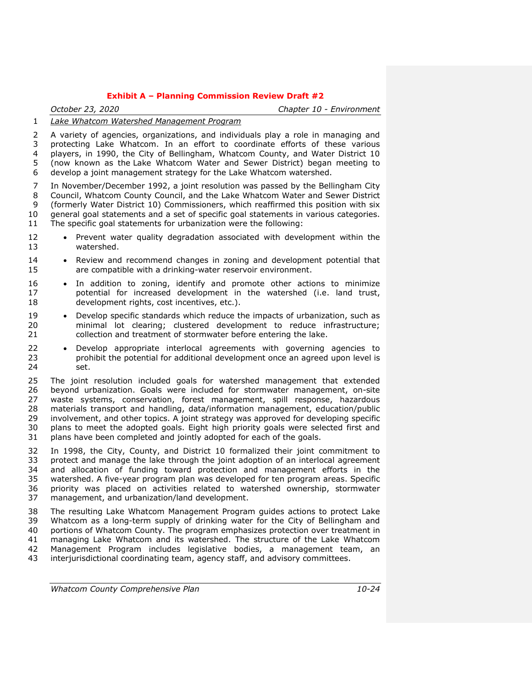*October 23, 2020 Chapter 10 - Environment*

# *Lake Whatcom Watershed Management Program*

 A variety of agencies, organizations, and individuals play a role in managing and protecting Lake Whatcom. In an effort to coordinate efforts of these various players, in 1990, the City of Bellingham, Whatcom County, and Water District 10 (now known as the Lake Whatcom Water and Sewer District) began meeting to develop a joint management strategy for the Lake Whatcom watershed.

 In November/December 1992, a joint resolution was passed by the Bellingham City Council, Whatcom County Council, and the Lake Whatcom Water and Sewer District (formerly Water District 10) Commissioners, which reaffirmed this position with six general goal statements and a set of specific goal statements in various categories. The specific goal statements for urbanization were the following:

- 12 Prevent water quality degradation associated with development within the watershed.
- 14 Review and recommend changes in zoning and development potential that are compatible with a drinking-water reservoir environment.
- In addition to zoning, identify and promote other actions to minimize potential for increased development in the watershed (i.e. land trust, development rights, cost incentives, etc.).
- 19 Develop specific standards which reduce the impacts of urbanization, such as minimal lot clearing; clustered development to reduce infrastructure; collection and treatment of stormwater before entering the lake.
- **•** Develop appropriate interlocal agreements with governing agencies to prohibit the potential for additional development once an agreed upon level is prohibit the potential for additional development once an agreed upon level is set.

 The joint resolution included goals for watershed management that extended beyond urbanization. Goals were included for stormwater management, on-site waste systems, conservation, forest management, spill response, hazardous materials transport and handling, data/information management, education/public involvement, and other topics. A joint strategy was approved for developing specific plans to meet the adopted goals. Eight high priority goals were selected first and plans have been completed and jointly adopted for each of the goals.

 In 1998, the City, County, and District 10 formalized their joint commitment to protect and manage the lake through the joint adoption of an interlocal agreement and allocation of funding toward protection and management efforts in the watershed. A five-year program plan was developed for ten program areas. Specific priority was placed on activities related to watershed ownership, stormwater management, and urbanization/land development.

 The resulting Lake Whatcom Management Program guides actions to protect Lake Whatcom as a long-term supply of drinking water for the City of Bellingham and portions of Whatcom County. The program emphasizes protection over treatment in managing Lake Whatcom and its watershed. The structure of the Lake Whatcom Management Program includes legislative bodies, a management team, an interjurisdictional coordinating team, agency staff, and advisory committees.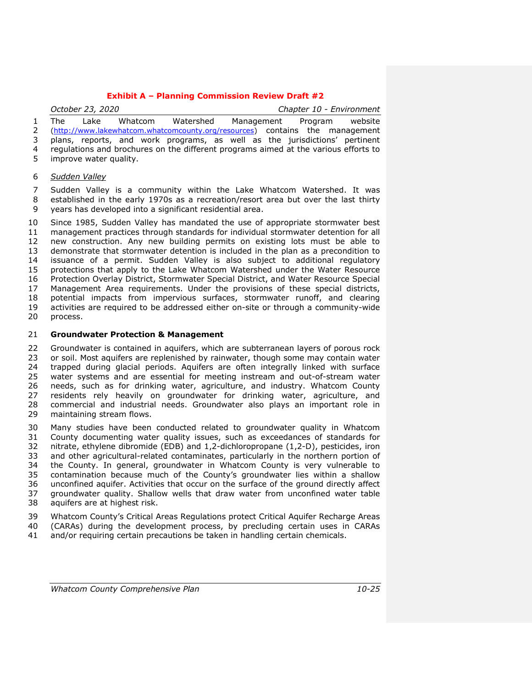|              | October 23, 2020 |                          |  | Chapter 10 - Environment                                                              |  |  |  |
|--------------|------------------|--------------------------|--|---------------------------------------------------------------------------------------|--|--|--|
| $\mathbf{1}$ |                  |                          |  | The Lake Whatcom Watershed Management Program website                                 |  |  |  |
|              |                  |                          |  | 2 (http://www.lakewhatcom.whatcomcounty.org/resources) contains the management        |  |  |  |
| 3            |                  |                          |  | plans, reports, and work programs, as well as the jurisdictions' pertinent            |  |  |  |
|              |                  |                          |  | 4 regulations and brochures on the different programs aimed at the various efforts to |  |  |  |
|              |                  | 5 improve water quality. |  |                                                                                       |  |  |  |
|              |                  |                          |  |                                                                                       |  |  |  |

# *Sudden Valley*

 Sudden Valley is a community within the Lake Whatcom Watershed. It was established in the early 1970s as a recreation/resort area but over the last thirty years has developed into a significant residential area.

 Since 1985, Sudden Valley has mandated the use of appropriate stormwater best management practices through standards for individual stormwater detention for all new construction. Any new building permits on existing lots must be able to demonstrate that stormwater detention is included in the plan as a precondition to issuance of a permit. Sudden Valley is also subject to additional regulatory protections that apply to the Lake Whatcom Watershed under the Water Resource Protection Overlay District, Stormwater Special District, and Water Resource Special Management Area requirements. Under the provisions of these special districts, potential impacts from impervious surfaces, stormwater runoff, and clearing activities are required to be addressed either on-site or through a community-wide process.

#### **Groundwater Protection & Management**

22 Groundwater is contained in aquifers, which are subterranean layers of porous rock<br>23 or soil. Most aquifers are replenished by rainwater, though some may contain water or soil. Most aquifers are replenished by rainwater, though some may contain water trapped during glacial periods. Aquifers are often integrally linked with surface water systems and are essential for meeting instream and out-of-stream water needs, such as for drinking water, agriculture, and industry. Whatcom County residents rely heavily on groundwater for drinking water, agriculture, and commercial and industrial needs. Groundwater also plays an important role in maintaining stream flows.

 Many studies have been conducted related to groundwater quality in Whatcom County documenting water quality issues, such as exceedances of standards for nitrate, ethylene dibromide (EDB) and 1,2-dichloropropane (1,2-D), pesticides, iron and other agricultural-related contaminates, particularly in the northern portion of the County. In general, groundwater in Whatcom County is very vulnerable to contamination because much of the County's groundwater lies within a shallow unconfined aquifer. Activities that occur on the surface of the ground directly affect groundwater quality. Shallow wells that draw water from unconfined water table aquifers are at highest risk.

 Whatcom County's Critical Areas Regulations protect Critical Aquifer Recharge Areas (CARAs) during the development process, by precluding certain uses in CARAs

and/or requiring certain precautions be taken in handling certain chemicals.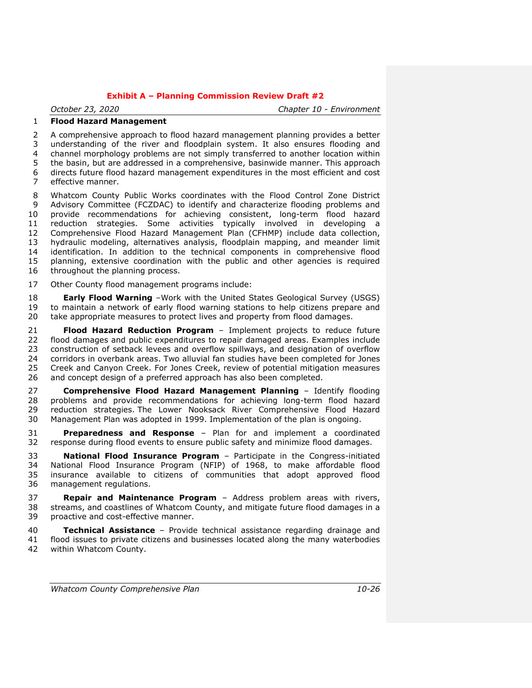*October 23, 2020 Chapter 10 - Environment*

# **Flood Hazard Management**

 A comprehensive approach to flood hazard management planning provides a better understanding of the river and floodplain system. It also ensures flooding and channel morphology problems are not simply transferred to another location within the basin, but are addressed in a comprehensive, basinwide manner. This approach directs future flood hazard management expenditures in the most efficient and cost effective manner.

 Whatcom County Public Works coordinates with the Flood Control Zone District Advisory Committee (FCZDAC) to identify and characterize flooding problems and provide recommendations for achieving consistent, long-term flood hazard reduction strategies. Some activities typically involved in developing a Comprehensive Flood Hazard Management Plan (CFHMP) include data collection, hydraulic modeling, alternatives analysis, floodplain mapping, and meander limit identification. In addition to the technical components in comprehensive flood planning, extensive coordination with the public and other agencies is required 16 throughout the planning process.

Other County flood management programs include:

 **Early Flood Warning** –Work with the United States Geological Survey (USGS) to maintain a network of early flood warning stations to help citizens prepare and take appropriate measures to protect lives and property from flood damages.

 **Flood Hazard Reduction Program** – Implement projects to reduce future 22 flood damages and public expenditures to repair damaged areas. Examples include<br>23 construction of setback levees and overflow spillways, and designation of overflow construction of setback levees and overflow spillways, and designation of overflow corridors in overbank areas. Two alluvial fan studies have been completed for Jones Creek and Canyon Creek. For Jones Creek, review of potential mitigation measures 26 and concept design of a preferred approach has also been completed.

 **Comprehensive Flood Hazard Management Planning** – Identify flooding problems and provide recommendations for achieving long-term flood hazard reduction strategies. The Lower Nooksack River Comprehensive Flood Hazard Management Plan was adopted in 1999. Implementation of the plan is ongoing.

 **Preparedness and Response** – Plan for and implement a coordinated response during flood events to ensure public safety and minimize flood damages.

 **National Flood Insurance Program** – Participate in the Congress-initiated National Flood Insurance Program (NFIP) of 1968, to make affordable flood insurance available to citizens of communities that adopt approved flood management regulations.

 **Repair and Maintenance Program** – Address problem areas with rivers, streams, and coastlines of Whatcom County, and mitigate future flood damages in a proactive and cost-effective manner.

 **Technical Assistance** – Provide technical assistance regarding drainage and flood issues to private citizens and businesses located along the many waterbodies within Whatcom County.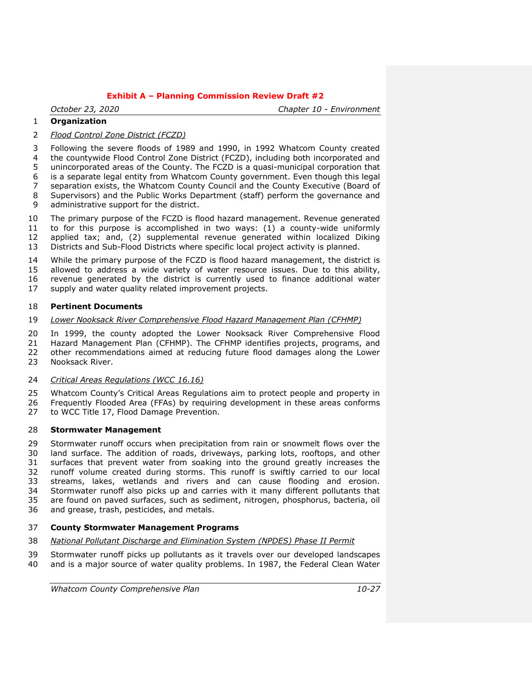*October 23, 2020 Chapter 10 - Environment*

# **Organization**

*Flood Control Zone District (FCZD)*

 Following the severe floods of 1989 and 1990, in 1992 Whatcom County created the countywide Flood Control Zone District (FCZD), including both incorporated and unincorporated areas of the County. The FCZD is a quasi-municipal corporation that is a separate legal entity from Whatcom County government. Even though this legal separation exists, the Whatcom County Council and the County Executive (Board of Supervisors) and the Public Works Department (staff) perform the governance and administrative support for the district.

 The primary purpose of the FCZD is flood hazard management. Revenue generated 11 to for this purpose is accomplished in two ways:  $(1)$  a county-wide uniformly applied tax; and, (2) supplemental revenue generated within localized Diking Districts and Sub-Flood Districts where specific local project activity is planned.

 While the primary purpose of the FCZD is flood hazard management, the district is allowed to address a wide variety of water resource issues. Due to this ability, revenue generated by the district is currently used to finance additional water supply and water quality related improvement projects.

#### **Pertinent Documents**

#### *Lower Nooksack River Comprehensive Flood Hazard Management Plan (CFHMP)*

In 1999, the county adopted the Lower Nooksack River Comprehensive Flood

 Hazard Management Plan (CFHMP). The CFHMP identifies projects, programs, and other recommendations aimed at reducing future flood damages along the Lower

Nooksack River.

# *Critical Areas Regulations (WCC 16.16)*

 Whatcom County's Critical Areas Regulations aim to protect people and property in Frequently Flooded Area (FFAs) by requiring development in these areas conforms to WCC Title 17, Flood Damage Prevention.

#### **Stormwater Management**

 Stormwater runoff occurs when precipitation from rain or snowmelt flows over the land surface. The addition of roads, driveways, parking lots, rooftops, and other surfaces that prevent water from soaking into the ground greatly increases the runoff volume created during storms. This runoff is swiftly carried to our local streams, lakes, wetlands and rivers and can cause flooding and erosion. Stormwater runoff also picks up and carries with it many different pollutants that are found on paved surfaces, such as sediment, nitrogen, phosphorus, bacteria, oil and grease, trash, pesticides, and metals.

#### **County Stormwater Management Programs**

- *National Pollutant Discharge and Elimination System (NPDES) Phase II Permit*
- Stormwater runoff picks up pollutants as it travels over our developed landscapes and is a major source of water quality problems. In 1987, the Federal Clean Water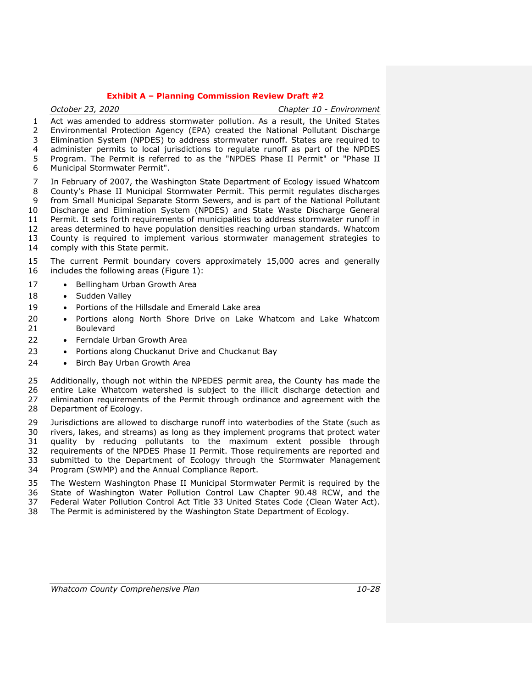| October 23, 2020                                                                    | Chapter 10 - Environment |
|-------------------------------------------------------------------------------------|--------------------------|
| Act was amended to address stormwater pollution. As a result, the United States     |                          |
| 2 Environmental Protection Agency (EPA) created the National Pollutant Discharge    |                          |
| 3 Elimination System (NPDES) to address stormwater runoff. States are required to   |                          |
| 4 administer permits to local jurisdictions to regulate runoff as part of the NPDES |                          |
| 5 Program. The Permit is referred to as the "NPDES Phase II Permit" or "Phase II    |                          |
| 6 Municipal Stormwater Permit".                                                     |                          |

 In February of 2007, the Washington State Department of Ecology issued Whatcom County's Phase II Municipal Stormwater Permit. This permit regulates discharges from Small Municipal Separate Storm Sewers, and is part of the National Pollutant Discharge and Elimination System (NPDES) and State Waste Discharge General Permit. It sets forth requirements of municipalities to address stormwater runoff in areas determined to have population densities reaching urban standards. Whatcom County is required to implement various stormwater management strategies to

comply with this State permit.

#### The current Permit boundary covers approximately 15,000 acres and generally includes the following areas [\(Figure 1\)](#page-28-0):

- 17 Bellingham Urban Growth Area
- 18 · Sudden Valley
- 19 Portions of the Hillsdale and Emerald Lake area
- Portions along North Shore Drive on Lake Whatcom and Lake Whatcom Boulevard
- 22 Ferndale Urban Growth Area
- 23 Portions along Chuckanut Drive and Chuckanut Bay
- 24 Birch Bay Urban Growth Area

 Additionally, though not within the NPEDES permit area, the County has made the entire Lake Whatcom watershed is subject to the illicit discharge detection and elimination requirements of the Permit through ordinance and agreement with the Department of Ecology.

 Jurisdictions are allowed to discharge runoff into waterbodies of the State (such as rivers, lakes, and streams) as long as they implement programs that protect water quality by reducing pollutants to the maximum extent possible through requirements of the NPDES Phase II Permit. Those requirements are reported and submitted to the Department of Ecology through the Stormwater Management Program (SWMP) and the Annual Compliance Report.

 The Western Washington Phase II Municipal Stormwater Permit is required by the State of Washington Water Pollution Control Law Chapter 90.48 RCW, and the Federal Water Pollution Control Act Title 33 United States Code (Clean Water Act).

The Permit is administered by the Washington State Department of Ecology.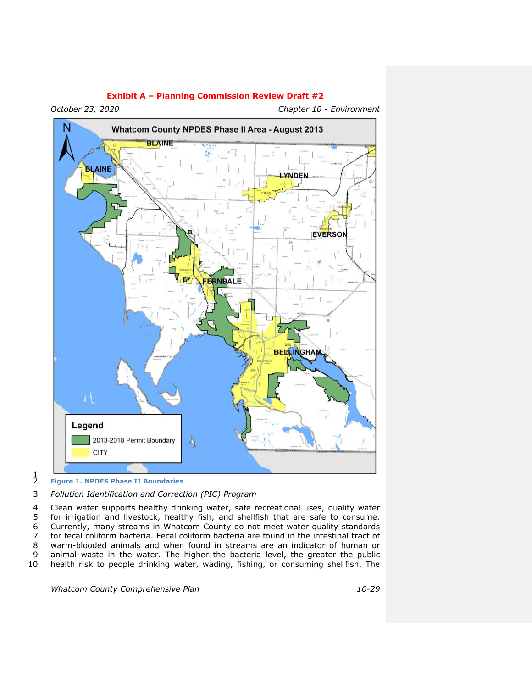

*October 23, 2020 Chapter 10 - Environment*

 $\frac{1}{2}$ 

# 3 *Pollution Identification and Correction (PIC) Program*

4 Clean water supports healthy drinking water, safe recreational uses, quality water 5 for irrigation and livestock, healthy fish, and shellfish that are safe to consume.<br>6 Currently, many streams in Whatcom County do not meet water quality standards 6 Currently, many streams in Whatcom County do not meet water quality standards<br>7 for fecal coliform bacteria. Fecal coliform bacteria are found in the intestinal tract of 7 for fecal coliform bacteria. Fecal coliform bacteria are found in the intestinal tract of warm-blooded animals and when found in streams are an indicator of human or 9 animal waste in the water. The higher the bacteria level, the greater the public 10 health risk to people drinking water, wading, fishing, or consuming shellfish. The

<span id="page-28-0"></span>2 **Figure 1. NPDES Phase II Boundaries**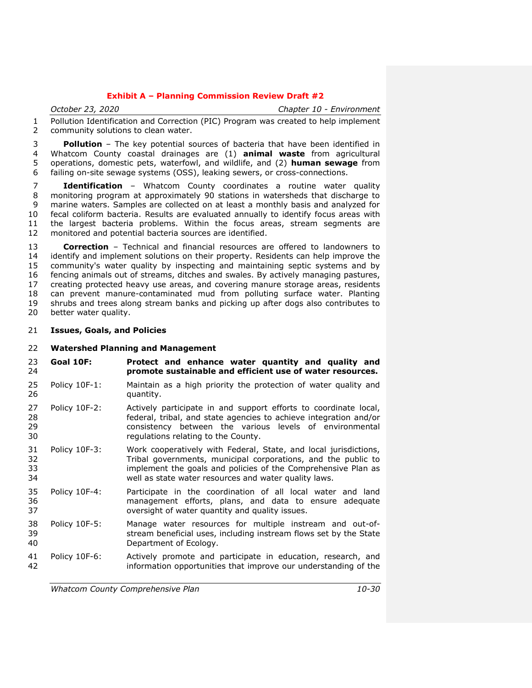*October 23, 2020 Chapter 10 - Environment*

 Pollution Identification and Correction (PIC) Program was created to help implement community solutions to clean water.

 **Pollution** – The key potential sources of bacteria that have been identified in Whatcom County coastal drainages are (1) **animal waste** from agricultural operations, domestic pets, waterfowl, and wildlife, and (2) **human sewage** from failing on-site sewage systems (OSS), leaking sewers, or cross-connections.

 **Identification** – Whatcom County coordinates a routine water quality monitoring program at approximately 90 stations in watersheds that discharge to marine waters. Samples are collected on at least a monthly basis and analyzed for fecal coliform bacteria. Results are evaluated annually to identify focus areas with the largest bacteria problems. Within the focus areas, stream segments are monitored and potential bacteria sources are identified.

**Correction** – Technical and financial resources are offered to landowners to 14 identify and implement solutions on their property. Residents can help improve the identify and implement solutions on their property. Residents can help improve the community's water quality by inspecting and maintaining septic systems and by fencing animals out of streams, ditches and swales. By actively managing pastures, creating protected heavy use areas, and covering manure storage areas, residents can prevent manure-contaminated mud from polluting surface water. Planting shrubs and trees along stream banks and picking up after dogs also contributes to 20 better water quality.

**Issues, Goals, and Policies**

#### **Watershed Planning and Management**

- **Goal 10F: Protect and enhance water quantity and quality and promote sustainable and efficient use of water resources.**
- Policy 10F-1: Maintain as a high priority the protection of water quality and **quantity.**
- Policy 10F-2: Actively participate in and support efforts to coordinate local, federal, tribal, and state agencies to achieve integration and/or consistency between the various levels of environmental regulations relating to the County.
- Policy 10F-3: Work cooperatively with Federal, State, and local jurisdictions, Tribal governments, municipal corporations, and the public to implement the goals and policies of the Comprehensive Plan as well as state water resources and water quality laws.
- Policy 10F-4: Participate in the coordination of all local water and land management efforts, plans, and data to ensure adequate oversight of water quantity and quality issues.
- Policy 10F-5: Manage water resources for multiple instream and out-of- stream beneficial uses, including instream flows set by the State Department of Ecology.
- Policy 10F-6: Actively promote and participate in education, research, and information opportunities that improve our understanding of the

*Whatcom County Comprehensive Plan 10-30*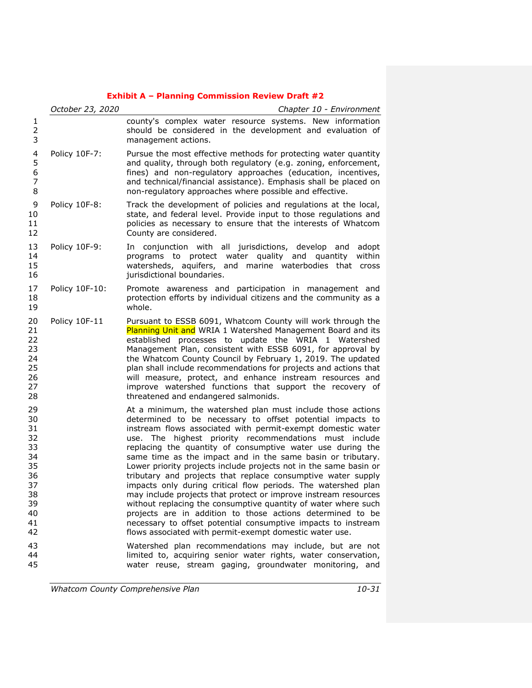|                                                                                  | October 23, 2020 | Chapter 10 - Environment                                                                                                                                                                                                                                                                                                                                                                                                                                                                                                                                                                                                                                                                                                                                                                                                                                                                                            |
|----------------------------------------------------------------------------------|------------------|---------------------------------------------------------------------------------------------------------------------------------------------------------------------------------------------------------------------------------------------------------------------------------------------------------------------------------------------------------------------------------------------------------------------------------------------------------------------------------------------------------------------------------------------------------------------------------------------------------------------------------------------------------------------------------------------------------------------------------------------------------------------------------------------------------------------------------------------------------------------------------------------------------------------|
| 1<br>$\overline{c}$<br>3                                                         |                  | county's complex water resource systems. New information<br>should be considered in the development and evaluation of<br>management actions.                                                                                                                                                                                                                                                                                                                                                                                                                                                                                                                                                                                                                                                                                                                                                                        |
| 4<br>5<br>6<br>$\overline{7}$<br>8                                               | Policy 10F-7:    | Pursue the most effective methods for protecting water quantity<br>and quality, through both regulatory (e.g. zoning, enforcement,<br>fines) and non-regulatory approaches (education, incentives,<br>and technical/financial assistance). Emphasis shall be placed on<br>non-regulatory approaches where possible and effective.                                                                                                                                                                                                                                                                                                                                                                                                                                                                                                                                                                                   |
| 9<br>10<br>11<br>12                                                              | Policy 10F-8:    | Track the development of policies and regulations at the local,<br>state, and federal level. Provide input to those regulations and<br>policies as necessary to ensure that the interests of Whatcom<br>County are considered.                                                                                                                                                                                                                                                                                                                                                                                                                                                                                                                                                                                                                                                                                      |
| 13<br>14<br>15<br>16                                                             | Policy 10F-9:    | In conjunction with all jurisdictions, develop and<br>adopt<br>programs to protect water quality and quantity<br>within<br>watersheds, aquifers, and marine waterbodies that cross<br>jurisdictional boundaries.                                                                                                                                                                                                                                                                                                                                                                                                                                                                                                                                                                                                                                                                                                    |
| 17<br>18<br>19                                                                   | Policy 10F-10:   | Promote awareness and participation in management and<br>protection efforts by individual citizens and the community as a<br>whole.                                                                                                                                                                                                                                                                                                                                                                                                                                                                                                                                                                                                                                                                                                                                                                                 |
| 20<br>21<br>22<br>23<br>24<br>25<br>26<br>27<br>28                               | Policy 10F-11    | Pursuant to ESSB 6091, Whatcom County will work through the<br>Planning Unit and WRIA 1 Watershed Management Board and its<br>established processes to update the WRIA 1 Watershed<br>Management Plan, consistent with ESSB 6091, for approval by<br>the Whatcom County Council by February 1, 2019. The updated<br>plan shall include recommendations for projects and actions that<br>will measure, protect, and enhance instream resources and<br>improve watershed functions that support the recovery of<br>threatened and endangered salmonids.                                                                                                                                                                                                                                                                                                                                                               |
| 29<br>30<br>31<br>32<br>33<br>34<br>35<br>36<br>37<br>38<br>39<br>40<br>41<br>42 |                  | At a minimum, the watershed plan must include those actions<br>determined to be necessary to offset potential impacts to<br>instream flows associated with permit-exempt domestic water<br>use. The highest priority recommendations must include<br>replacing the quantity of consumptive water use during the<br>same time as the impact and in the same basin or tributary.<br>Lower priority projects include projects not in the same basin or<br>tributary and projects that replace consumptive water supply<br>impacts only during critical flow periods. The watershed plan<br>may include projects that protect or improve instream resources<br>without replacing the consumptive quantity of water where such<br>projects are in addition to those actions determined to be<br>necessary to offset potential consumptive impacts to instream<br>flows associated with permit-exempt domestic water use. |
| 43<br>44<br>45                                                                   |                  | Watershed plan recommendations may include, but are not<br>limited to, acquiring senior water rights, water conservation,<br>water reuse, stream gaging, groundwater monitoring, and                                                                                                                                                                                                                                                                                                                                                                                                                                                                                                                                                                                                                                                                                                                                |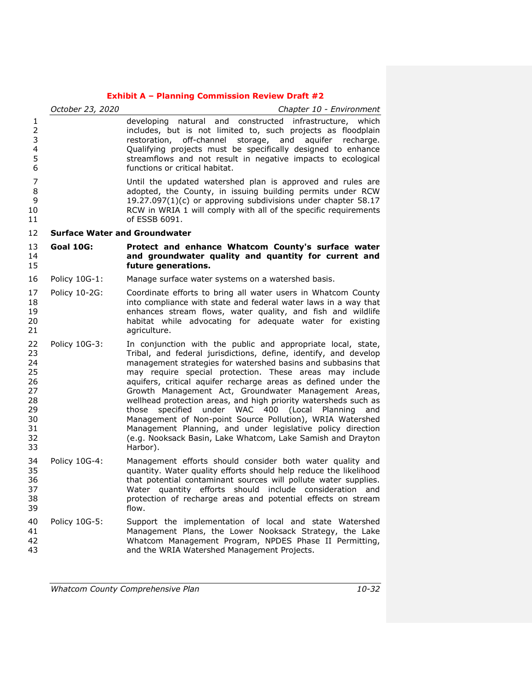|                                                                      | October 23, 2020                     | Chapter 10 - Environment                                                                                                                                                                                                                                                                                                                                                                                                                                                                                                                                                                                                                                                                                                    |
|----------------------------------------------------------------------|--------------------------------------|-----------------------------------------------------------------------------------------------------------------------------------------------------------------------------------------------------------------------------------------------------------------------------------------------------------------------------------------------------------------------------------------------------------------------------------------------------------------------------------------------------------------------------------------------------------------------------------------------------------------------------------------------------------------------------------------------------------------------------|
| 1<br>$\overline{2}$<br>3<br>$\overline{\mathcal{L}}$<br>5<br>6       |                                      | developing natural and constructed infrastructure, which<br>includes, but is not limited to, such projects as floodplain<br>restoration, off-channel storage, and aquifer recharge.<br>Qualifying projects must be specifically designed to enhance<br>streamflows and not result in negative impacts to ecological<br>functions or critical habitat.                                                                                                                                                                                                                                                                                                                                                                       |
| 7<br>8<br>9<br>10<br>11                                              |                                      | Until the updated watershed plan is approved and rules are<br>adopted, the County, in issuing building permits under RCW<br>19.27.097(1)(c) or approving subdivisions under chapter 58.17<br>RCW in WRIA 1 will comply with all of the specific requirements<br>of ESSB 6091.                                                                                                                                                                                                                                                                                                                                                                                                                                               |
| 12                                                                   | <b>Surface Water and Groundwater</b> |                                                                                                                                                                                                                                                                                                                                                                                                                                                                                                                                                                                                                                                                                                                             |
| 13<br>14<br>15                                                       | <b>Goal 10G:</b>                     | Protect and enhance Whatcom County's surface water<br>and groundwater quality and quantity for current and<br>future generations.                                                                                                                                                                                                                                                                                                                                                                                                                                                                                                                                                                                           |
| 16                                                                   | Policy 10G-1:                        | Manage surface water systems on a watershed basis.                                                                                                                                                                                                                                                                                                                                                                                                                                                                                                                                                                                                                                                                          |
| 17<br>18<br>19<br>20<br>21                                           | Policy 10-2G:                        | Coordinate efforts to bring all water users in Whatcom County<br>into compliance with state and federal water laws in a way that<br>enhances stream flows, water quality, and fish and wildlife<br>habitat while advocating for adequate water for existing<br>agriculture.                                                                                                                                                                                                                                                                                                                                                                                                                                                 |
| 22<br>23<br>24<br>25<br>26<br>27<br>28<br>29<br>30<br>31<br>32<br>33 | Policy 10G-3:                        | In conjunction with the public and appropriate local, state,<br>Tribal, and federal jurisdictions, define, identify, and develop<br>management strategies for watershed basins and subbasins that<br>may require special protection. These areas may include<br>aquifers, critical aquifer recharge areas as defined under the<br>Growth Management Act, Groundwater Management Areas,<br>wellhead protection areas, and high priority watersheds such as<br>specified under WAC 400 (Local Planning<br>those<br>and<br>Management of Non-point Source Pollution), WRIA Watershed<br>Management Planning, and under legislative policy direction<br>(e.g. Nooksack Basin, Lake Whatcom, Lake Samish and Drayton<br>Harbor). |
| 34<br>35<br>36<br>37<br>38<br>39                                     | Policy 10G-4:                        | Management efforts should consider both water quality and<br>quantity. Water quality efforts should help reduce the likelihood<br>that potential contaminant sources will pollute water supplies.<br>Water quantity efforts should include consideration and<br>protection of recharge areas and potential effects on stream<br>flow.                                                                                                                                                                                                                                                                                                                                                                                       |
| 40<br>41<br>42<br>43                                                 | Policy 10G-5:                        | Support the implementation of local and state Watershed<br>Management Plans, the Lower Nooksack Strategy, the Lake<br>Whatcom Management Program, NPDES Phase II Permitting,<br>and the WRIA Watershed Management Projects.                                                                                                                                                                                                                                                                                                                                                                                                                                                                                                 |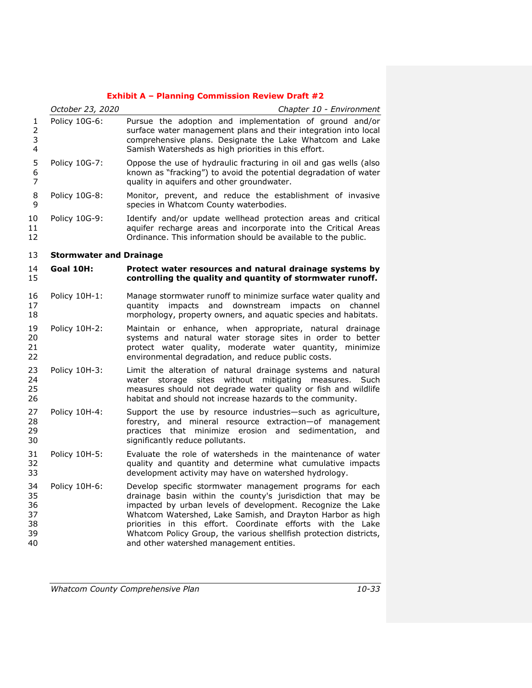|                                        | October 23, 2020               | Chapter 10 - Environment                                                                                                                                                                                                                                                                                                                                                                                                             |
|----------------------------------------|--------------------------------|--------------------------------------------------------------------------------------------------------------------------------------------------------------------------------------------------------------------------------------------------------------------------------------------------------------------------------------------------------------------------------------------------------------------------------------|
| 1<br>$\overline{2}$<br>3<br>4          | Policy 10G-6:                  | Pursue the adoption and implementation of ground and/or<br>surface water management plans and their integration into local<br>comprehensive plans. Designate the Lake Whatcom and Lake<br>Samish Watersheds as high priorities in this effort.                                                                                                                                                                                       |
| 5<br>6<br>7                            | Policy 10G-7:                  | Oppose the use of hydraulic fracturing in oil and gas wells (also<br>known as "fracking") to avoid the potential degradation of water<br>quality in aquifers and other groundwater.                                                                                                                                                                                                                                                  |
| 8<br>9                                 | Policy 10G-8:                  | Monitor, prevent, and reduce the establishment of invasive<br>species in Whatcom County waterbodies.                                                                                                                                                                                                                                                                                                                                 |
| 10<br>11<br>12                         | Policy 10G-9:                  | Identify and/or update wellhead protection areas and critical<br>aquifer recharge areas and incorporate into the Critical Areas<br>Ordinance. This information should be available to the public.                                                                                                                                                                                                                                    |
| 13                                     | <b>Stormwater and Drainage</b> |                                                                                                                                                                                                                                                                                                                                                                                                                                      |
| 14<br>15                               | Goal 10H:                      | Protect water resources and natural drainage systems by<br>controlling the quality and quantity of stormwater runoff.                                                                                                                                                                                                                                                                                                                |
| 16<br>17<br>18                         | Policy 10H-1:                  | Manage stormwater runoff to minimize surface water quality and<br>and<br>downstream<br>quantity<br>impacts<br>impacts<br>channel<br>on<br>morphology, property owners, and aquatic species and habitats.                                                                                                                                                                                                                             |
| 19<br>20<br>21<br>22                   | Policy 10H-2:                  | Maintain or enhance, when appropriate, natural drainage<br>systems and natural water storage sites in order to better<br>protect water quality, moderate water quantity,<br>minimize<br>environmental degradation, and reduce public costs.                                                                                                                                                                                          |
| 23<br>24<br>25<br>26                   | Policy 10H-3:                  | Limit the alteration of natural drainage systems and natural<br>storage<br>sites<br>without<br>mitigating<br>measures.<br>water<br>Such<br>measures should not degrade water quality or fish and wildlife<br>habitat and should not increase hazards to the community.                                                                                                                                                               |
| 27<br>28<br>29<br>30                   | Policy 10H-4:                  | Support the use by resource industries-such as agriculture,<br>forestry, and mineral resource extraction-of management<br>practices that minimize erosion and sedimentation,<br>and<br>significantly reduce pollutants.                                                                                                                                                                                                              |
| 31<br>32<br>33                         | Policy 10H-5:                  | Evaluate the role of watersheds in the maintenance of water<br>quality and quantity and determine what cumulative impacts<br>development activity may have on watershed hydrology.                                                                                                                                                                                                                                                   |
| 34<br>35<br>36<br>37<br>38<br>39<br>40 | Policy 10H-6:                  | Develop specific stormwater management programs for each<br>drainage basin within the county's jurisdiction that may be<br>impacted by urban levels of development. Recognize the Lake<br>Whatcom Watershed, Lake Samish, and Drayton Harbor as high<br>priorities in this effort. Coordinate efforts with the Lake<br>Whatcom Policy Group, the various shellfish protection districts,<br>and other watershed management entities. |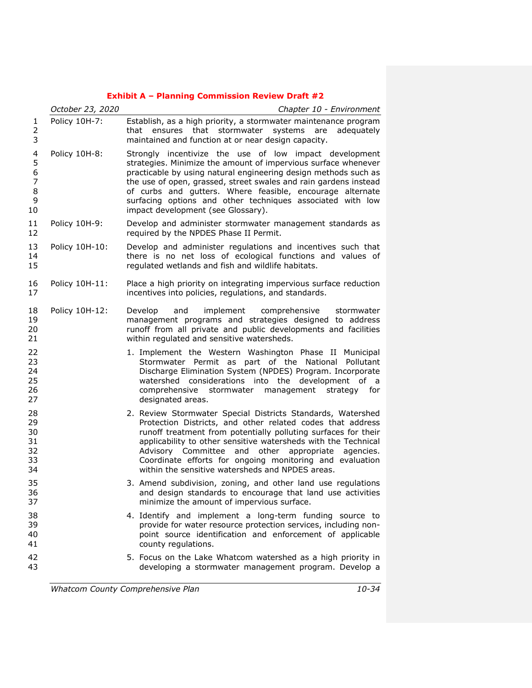|                                               | October 23, 2020 | Chapter 10 - Environment                                                                                                                                                                                                                                                                                                                                                                                                            |  |
|-----------------------------------------------|------------------|-------------------------------------------------------------------------------------------------------------------------------------------------------------------------------------------------------------------------------------------------------------------------------------------------------------------------------------------------------------------------------------------------------------------------------------|--|
| 1<br>2<br>3                                   | Policy 10H-7:    | Establish, as a high priority, a stormwater maintenance program<br>that ensures that stormwater systems are<br>adeguately<br>maintained and function at or near design capacity.                                                                                                                                                                                                                                                    |  |
| 4<br>5<br>6<br>$\overline{7}$<br>8<br>9<br>10 | Policy 10H-8:    | Strongly incentivize the use of low impact development<br>strategies. Minimize the amount of impervious surface whenever<br>practicable by using natural engineering design methods such as<br>the use of open, grassed, street swales and rain gardens instead<br>of curbs and gutters. Where feasible, encourage alternate<br>surfacing options and other techniques associated with low<br>impact development (see Glossary).    |  |
| 11<br>12                                      | Policy 10H-9:    | Develop and administer stormwater management standards as<br>required by the NPDES Phase II Permit.                                                                                                                                                                                                                                                                                                                                 |  |
| 13<br>14<br>15                                | Policy 10H-10:   | Develop and administer regulations and incentives such that<br>there is no net loss of ecological functions and values of<br>regulated wetlands and fish and wildlife habitats.                                                                                                                                                                                                                                                     |  |
| 16<br>17                                      | Policy 10H-11:   | Place a high priority on integrating impervious surface reduction<br>incentives into policies, regulations, and standards.                                                                                                                                                                                                                                                                                                          |  |
| 18<br>19<br>20<br>21                          | Policy 10H-12:   | Develop<br>and<br>implement<br>comprehensive<br>stormwater<br>management programs and strategies designed to address<br>runoff from all private and public developments and facilities<br>within regulated and sensitive watersheds.                                                                                                                                                                                                |  |
| 22<br>23<br>24<br>25<br>26<br>27              |                  | 1. Implement the Western Washington Phase II Municipal<br>Stormwater Permit as part of the National Pollutant<br>Discharge Elimination System (NPDES) Program. Incorporate<br>watershed considerations into the development of a<br>comprehensive stormwater management<br>strategy for<br>designated areas.                                                                                                                        |  |
| 28<br>29<br>30<br>31<br>32<br>33<br>34        |                  | 2. Review Stormwater Special Districts Standards, Watershed<br>Protection Districts, and other related codes that address<br>runoff treatment from potentially polluting surfaces for their<br>applicability to other sensitive watersheds with the Technical<br>Advisory Committee and other appropriate agencies.<br>Coordinate efforts for ongoing monitoring and evaluation<br>within the sensitive watersheds and NPDES areas. |  |
| 35<br>36<br>37                                |                  | 3. Amend subdivision, zoning, and other land use regulations<br>and design standards to encourage that land use activities<br>minimize the amount of impervious surface.                                                                                                                                                                                                                                                            |  |
| 38<br>39<br>40<br>41                          |                  | 4. Identify and implement a long-term funding source to<br>provide for water resource protection services, including non-<br>point source identification and enforcement of applicable<br>county regulations.                                                                                                                                                                                                                       |  |
| 42<br>43                                      |                  | 5. Focus on the Lake Whatcom watershed as a high priority in<br>developing a stormwater management program. Develop a                                                                                                                                                                                                                                                                                                               |  |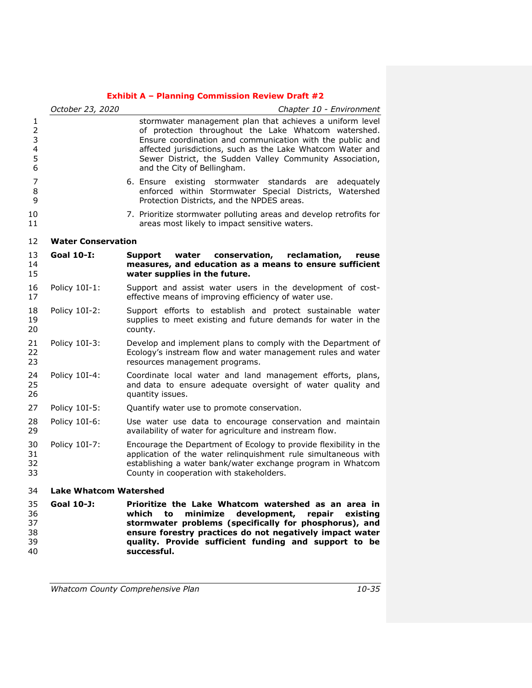|                                                      | October 23, 2020              | Chapter 10 - Environment                                                                                                                                                                                                                                                                                                               |
|------------------------------------------------------|-------------------------------|----------------------------------------------------------------------------------------------------------------------------------------------------------------------------------------------------------------------------------------------------------------------------------------------------------------------------------------|
| 1<br>$\overline{2}$<br>3<br>$\overline{4}$<br>5<br>6 |                               | stormwater management plan that achieves a uniform level<br>of protection throughout the Lake Whatcom watershed.<br>Ensure coordination and communication with the public and<br>affected jurisdictions, such as the Lake Whatcom Water and<br>Sewer District, the Sudden Valley Community Association,<br>and the City of Bellingham. |
| 7<br>8<br>9                                          |                               | 6. Ensure existing stormwater standards are<br>adeguately<br>enforced within Stormwater Special Districts,<br>Watershed<br>Protection Districts, and the NPDES areas.                                                                                                                                                                  |
| 10<br>11                                             |                               | 7. Prioritize stormwater polluting areas and develop retrofits for<br>areas most likely to impact sensitive waters.                                                                                                                                                                                                                    |
| 12                                                   | <b>Water Conservation</b>     |                                                                                                                                                                                                                                                                                                                                        |
| 13<br>14<br>15                                       | <b>Goal 10-I:</b>             | Support<br>water<br>conservation,<br>reclamation,<br>reuse<br>measures, and education as a means to ensure sufficient<br>water supplies in the future.                                                                                                                                                                                 |
| 16<br>17                                             | Policy 10I-1:                 | Support and assist water users in the development of cost-<br>effective means of improving efficiency of water use.                                                                                                                                                                                                                    |
| 18<br>19<br>20                                       | Policy 10I-2:                 | Support efforts to establish and protect sustainable water<br>supplies to meet existing and future demands for water in the<br>county.                                                                                                                                                                                                 |
| 21<br>22<br>23                                       | Policy 10I-3:                 | Develop and implement plans to comply with the Department of<br>Ecology's instream flow and water management rules and water<br>resources management programs.                                                                                                                                                                         |
| 24<br>25<br>26                                       | Policy 10I-4:                 | Coordinate local water and land management efforts, plans,<br>and data to ensure adequate oversight of water quality and<br>quantity issues.                                                                                                                                                                                           |
| 27                                                   | Policy 10I-5:                 | Quantify water use to promote conservation.                                                                                                                                                                                                                                                                                            |
| 28<br>29                                             | Policy 10I-6:                 | Use water use data to encourage conservation and maintain<br>availability of water for agriculture and instream flow.                                                                                                                                                                                                                  |
| 30<br>31<br>32<br>33                                 | Policy 10I-7:                 | Encourage the Department of Ecology to provide flexibility in the<br>application of the water relinquishment rule simultaneous with<br>establishing a water bank/water exchange program in Whatcom<br>County in cooperation with stakeholders.                                                                                         |
| 34                                                   | <b>Lake Whatcom Watershed</b> |                                                                                                                                                                                                                                                                                                                                        |
| 35<br>36<br>37<br>38<br>39                           | Goal 10-J:                    | Prioritize the Lake Whatcom watershed as an area in<br>development,<br>repair<br>which<br>to<br>minimize<br>existina<br>stormwater problems (specifically for phosphorus), and<br>ensure forestry practices do not negatively impact water<br>quality. Provide sufficient funding and support to be                                    |

**successful.**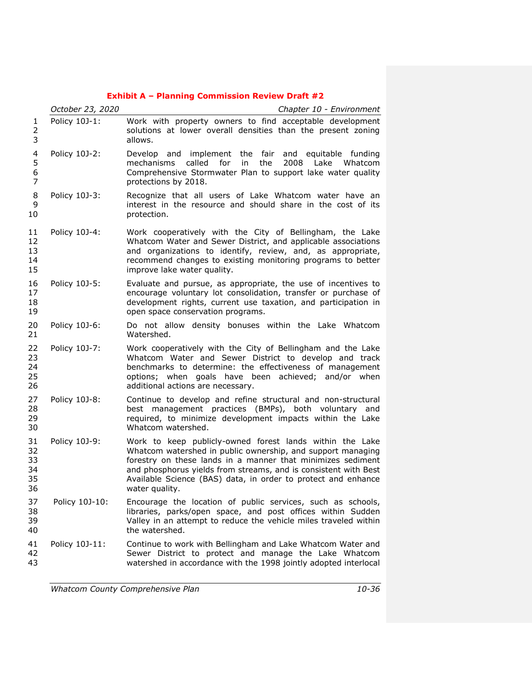|                                                      | October 23, 2020 | Chapter 10 - Environment                                                                                                                                                                                                                                                                                                                     |  |
|------------------------------------------------------|------------------|----------------------------------------------------------------------------------------------------------------------------------------------------------------------------------------------------------------------------------------------------------------------------------------------------------------------------------------------|--|
| 1<br>$\overline{2}$<br>3                             | Policy 10J-1:    | Work with property owners to find acceptable development<br>solutions at lower overall densities than the present zoning<br>allows.                                                                                                                                                                                                          |  |
| $\overline{\mathcal{A}}$<br>5<br>6<br>$\overline{7}$ | Policy 10J-2:    | Develop and implement the fair and equitable funding<br>mechanisms<br>called<br>for<br>in<br>the<br>2008 Lake Whatcom<br>Comprehensive Stormwater Plan to support lake water quality<br>protections by 2018.                                                                                                                                 |  |
| 8<br>9<br>10                                         | Policy 10J-3:    | Recognize that all users of Lake Whatcom water have an<br>interest in the resource and should share in the cost of its<br>protection.                                                                                                                                                                                                        |  |
| 11<br>12<br>13<br>14<br>15                           | Policy 10J-4:    | Work cooperatively with the City of Bellingham, the Lake<br>Whatcom Water and Sewer District, and applicable associations<br>and organizations to identify, review, and, as appropriate,<br>recommend changes to existing monitoring programs to better<br>improve lake water quality.                                                       |  |
| 16<br>17<br>18<br>19                                 | Policy 10J-5:    | Evaluate and pursue, as appropriate, the use of incentives to<br>encourage voluntary lot consolidation, transfer or purchase of<br>development rights, current use taxation, and participation in<br>open space conservation programs.                                                                                                       |  |
| 20<br>21                                             | Policy 10J-6:    | Do not allow density bonuses within the Lake Whatcom<br>Watershed.                                                                                                                                                                                                                                                                           |  |
| 22<br>23<br>24<br>25<br>26                           | Policy 10J-7:    | Work cooperatively with the City of Bellingham and the Lake<br>Whatcom Water and Sewer District to develop and track<br>benchmarks to determine: the effectiveness of management<br>options; when goals have been achieved; and/or when<br>additional actions are necessary.                                                                 |  |
| 27<br>28<br>29<br>30                                 | Policy 10J-8:    | Continue to develop and refine structural and non-structural<br>best management practices (BMPs), both voluntary and<br>required, to minimize development impacts within the Lake<br>Whatcom watershed.                                                                                                                                      |  |
| 31<br>32<br>33<br>34<br>35<br>36                     | Policy 10J-9:    | Work to keep publicly-owned forest lands within the Lake<br>Whatcom watershed in public ownership, and support managing<br>forestry on these lands in a manner that minimizes sediment<br>and phosphorus yields from streams, and is consistent with Best<br>Available Science (BAS) data, in order to protect and enhance<br>water quality. |  |
| 37<br>38<br>39<br>40                                 | Policy 10J-10:   | Encourage the location of public services, such as schools,<br>libraries, parks/open space, and post offices within Sudden<br>Valley in an attempt to reduce the vehicle miles traveled within<br>the watershed.                                                                                                                             |  |
| 41<br>42<br>43                                       | Policy 10J-11:   | Continue to work with Bellingham and Lake Whatcom Water and<br>Sewer District to protect and manage the Lake Whatcom<br>watershed in accordance with the 1998 jointly adopted interlocal                                                                                                                                                     |  |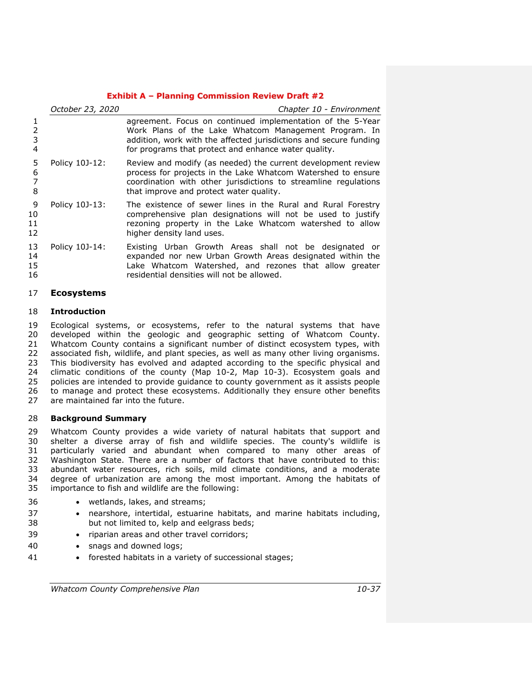|                      | October 23, 2020 | Chapter 10 - Environment                                                                                                                                                                                                                         |  |
|----------------------|------------------|--------------------------------------------------------------------------------------------------------------------------------------------------------------------------------------------------------------------------------------------------|--|
| 3<br>4               |                  | agreement. Focus on continued implementation of the 5-Year<br>Work Plans of the Lake Whatcom Management Program. In<br>addition, work with the affected jurisdictions and secure funding<br>for programs that protect and enhance water quality. |  |
| 5<br>6<br>8          | Policy 10J-12:   | Review and modify (as needed) the current development review<br>process for projects in the Lake Whatcom Watershed to ensure<br>coordination with other jurisdictions to streamline regulations<br>that improve and protect water quality.       |  |
| 9<br>10<br>11<br>12  | Policy 10J-13:   | The existence of sewer lines in the Rural and Rural Forestry<br>comprehensive plan designations will not be used to justify<br>rezoning property in the Lake Whatcom watershed to allow<br>higher density land uses.                             |  |
| 13<br>14<br>15<br>16 | Policy 10J-14:   | Existing Urban Growth Areas shall not be designated or<br>expanded nor new Urban Growth Areas designated within the<br>Lake Whatcom Watershed, and rezones that allow greater<br>residential densities will not be allowed.                      |  |

# **Ecosystems**

# **Introduction**

 Ecological systems, or ecosystems, refer to the natural systems that have developed within the geologic and geographic setting of Whatcom County. Whatcom County contains a significant number of distinct ecosystem types, with associated fish, wildlife, and plant species, as well as many other living organisms. This biodiversity has evolved and adapted according to the specific physical and climatic conditions of the county (Map 10-2, Map 10-3). Ecosystem goals and policies are intended to provide guidance to county government as it assists people to manage and protect these ecosystems. Additionally they ensure other benefits are maintained far into the future.

# **Background Summary**

 Whatcom County provides a wide variety of natural habitats that support and shelter a diverse array of fish and wildlife species. The county's wildlife is particularly varied and abundant when compared to many other areas of Washington State. There are a number of factors that have contributed to this: abundant water resources, rich soils, mild climate conditions, and a moderate degree of urbanization are among the most important. Among the habitats of importance to fish and wildlife are the following:

- wetlands, lakes, and streams;
- nearshore, intertidal, estuarine habitats, and marine habitats including, but not limited to, kelp and eelgrass beds;
- 39 riparian areas and other travel corridors;
- 40 · snags and downed logs;
- forested habitats in a variety of successional stages;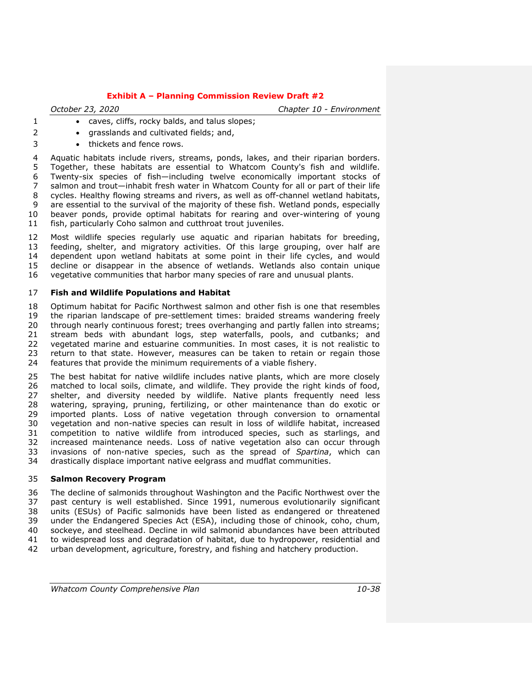*October 23, 2020 Chapter 10 - Environment*

- **e** caves, cliffs, rocky balds, and talus slopes;
- 2 grasslands and cultivated fields; and,
- 3 thickets and fence rows.

 Aquatic habitats include rivers, streams, ponds, lakes, and their riparian borders. Together, these habitats are essential to Whatcom County's fish and wildlife. Twenty-six species of fish—including twelve economically important stocks of salmon and trout—inhabit fresh water in Whatcom County for all or part of their life cycles. Healthy flowing streams and rivers, as well as off-channel wetland habitats, are essential to the survival of the majority of these fish. Wetland ponds, especially beaver ponds, provide optimal habitats for rearing and over-wintering of young fish, particularly Coho salmon and cutthroat trout juveniles.

 Most wildlife species regularly use aquatic and riparian habitats for breeding, feeding, shelter, and migratory activities. Of this large grouping, over half are dependent upon wetland habitats at some point in their life cycles, and would decline or disappear in the absence of wetlands. Wetlands also contain unique vegetative communities that harbor many species of rare and unusual plants.

# **Fish and Wildlife Populations and Habitat**

 Optimum habitat for Pacific Northwest salmon and other fish is one that resembles the riparian landscape of pre-settlement times: braided streams wandering freely through nearly continuous forest; trees overhanging and partly fallen into streams; stream beds with abundant logs, step waterfalls, pools, and cutbanks; and vegetated marine and estuarine communities. In most cases, it is not realistic to return to that state. However, measures can be taken to retain or regain those features that provide the minimum requirements of a viable fishery.

 The best habitat for native wildlife includes native plants, which are more closely matched to local soils, climate, and wildlife. They provide the right kinds of food, shelter, and diversity needed by wildlife. Native plants frequently need less watering, spraying, pruning, fertilizing, or other maintenance than do exotic or imported plants. Loss of native vegetation through conversion to ornamental vegetation and non-native species can result in loss of wildlife habitat, increased competition to native wildlife from introduced species, such as starlings, and increased maintenance needs. Loss of native vegetation also can occur through invasions of non-native species, such as the spread of *Spartina*, which can drastically displace important native eelgrass and mudflat communities.

# **Salmon Recovery Program**

 The decline of salmonids throughout Washington and the Pacific Northwest over the past century is well established. Since 1991, numerous evolutionarily significant units (ESUs) of Pacific salmonids have been listed as endangered or threatened under the Endangered Species Act (ESA), including those of chinook, coho, chum, sockeye, and steelhead. Decline in wild salmonid abundances have been attributed to widespread loss and degradation of habitat, due to hydropower, residential and urban development, agriculture, forestry, and fishing and hatchery production.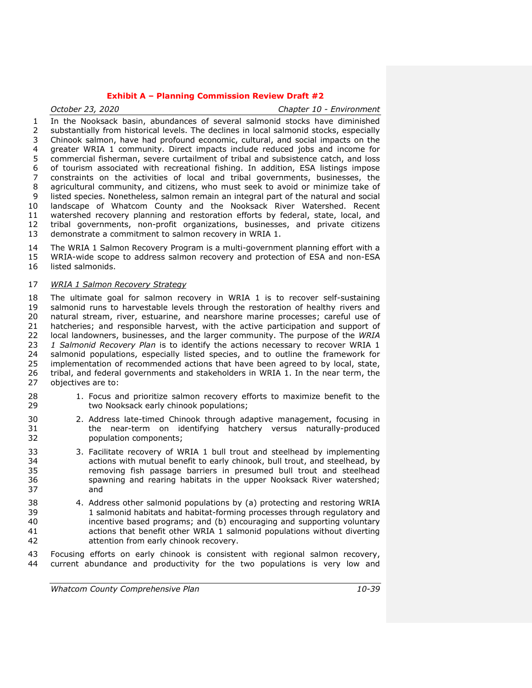*October 23, 2020 Chapter 10 - Environment* In the Nooksack basin, abundances of several salmonid stocks have diminished substantially from historical levels. The declines in local salmonid stocks, especially Chinook salmon, have had profound economic, cultural, and social impacts on the greater WRIA 1 community. Direct impacts include reduced jobs and income for commercial fisherman, severe curtailment of tribal and subsistence catch, and loss of tourism associated with recreational fishing. In addition, ESA listings impose constraints on the activities of local and tribal governments, businesses, the agricultural community, and citizens, who must seek to avoid or minimize take of listed species. Nonetheless, salmon remain an integral part of the natural and social landscape of Whatcom County and the Nooksack River Watershed. Recent watershed recovery planning and restoration efforts by federal, state, local, and tribal governments, non-profit organizations, businesses, and private citizens demonstrate a commitment to salmon recovery in WRIA 1.

 The WRIA 1 Salmon Recovery Program is a multi-government planning effort with a WRIA-wide scope to address salmon recovery and protection of ESA and non-ESA listed salmonids.

# *WRIA 1 Salmon Recovery Strategy*

 The ultimate goal for salmon recovery in WRIA 1 is to recover self-sustaining salmonid runs to harvestable levels through the restoration of healthy rivers and natural stream, river, estuarine, and nearshore marine processes; careful use of hatcheries; and responsible harvest, with the active participation and support of local landowners, businesses, and the larger community. The purpose of the *WRIA 1 Salmonid Recovery Plan* is to identify the actions necessary to recover WRIA 1 24 salmonid populations, especially listed species, and to outline the framework for<br>25 implementation of recommended actions that have been agreed to by local, state, implementation of recommended actions that have been agreed to by local, state, tribal, and federal governments and stakeholders in WRIA 1. In the near term, the objectives are to:

- 1. Focus and prioritize salmon recovery efforts to maximize benefit to the two Nooksack early chinook populations;
- 2. Address late-timed Chinook through adaptive management, focusing in the near-term on identifying hatchery versus naturally-produced population components;
- 3. Facilitate recovery of WRIA 1 bull trout and steelhead by implementing actions with mutual benefit to early chinook, bull trout, and steelhead, by removing fish passage barriers in presumed bull trout and steelhead spawning and rearing habitats in the upper Nooksack River watershed; and
- 4. Address other salmonid populations by (a) protecting and restoring WRIA 1 salmonid habitats and habitat-forming processes through regulatory and incentive based programs; and (b) encouraging and supporting voluntary actions that benefit other WRIA 1 salmonid populations without diverting attention from early chinook recovery.
- Focusing efforts on early chinook is consistent with regional salmon recovery, current abundance and productivity for the two populations is very low and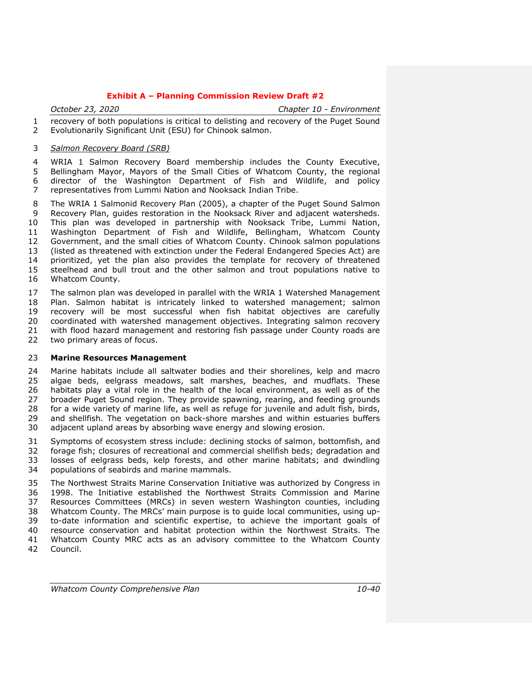*October 23, 2020 Chapter 10 - Environment*

 recovery of both populations is critical to delisting and recovery of the Puget Sound Evolutionarily Significant Unit (ESU) for Chinook salmon.

#### *Salmon Recovery Board (SRB)*

 WRIA 1 Salmon Recovery Board membership includes the County Executive, Bellingham Mayor, Mayors of the Small Cities of Whatcom County, the regional director of the Washington Department of Fish and Wildlife, and policy representatives from Lummi Nation and Nooksack Indian Tribe.

 The WRIA 1 Salmonid Recovery Plan (2005), a chapter of the Puget Sound Salmon Recovery Plan, guides restoration in the Nooksack River and adjacent watersheds. This plan was developed in partnership with Nooksack Tribe, Lummi Nation, Washington Department of Fish and Wildlife, Bellingham, Whatcom County Government, and the small cities of Whatcom County. Chinook salmon populations (listed as threatened with extinction under the Federal Endangered Species Act) are prioritized, yet the plan also provides the template for recovery of threatened steelhead and bull trout and the other salmon and trout populations native to Whatcom County.

 The salmon plan was developed in parallel with the WRIA 1 Watershed Management Plan. Salmon habitat is intricately linked to watershed management; salmon recovery will be most successful when fish habitat objectives are carefully coordinated with watershed management objectives. Integrating salmon recovery with flood hazard management and restoring fish passage under County roads are two primary areas of focus.

#### **Marine Resources Management**

 Marine habitats include all saltwater bodies and their shorelines, kelp and macro algae beds, eelgrass meadows, salt marshes, beaches, and mudflats. These habitats play a vital role in the health of the local environment, as well as of the broader Puget Sound region. They provide spawning, rearing, and feeding grounds for a wide variety of marine life, as well as refuge for juvenile and adult fish, birds, and shellfish. The vegetation on back-shore marshes and within estuaries buffers adjacent upland areas by absorbing wave energy and slowing erosion.

 Symptoms of ecosystem stress include: declining stocks of salmon, bottomfish, and forage fish; closures of recreational and commercial shellfish beds; degradation and losses of eelgrass beds, kelp forests, and other marine habitats; and dwindling populations of seabirds and marine mammals.

 The Northwest Straits Marine Conservation Initiative was authorized by Congress in 1998. The Initiative established the Northwest Straits Commission and Marine Resources Committees (MRCs) in seven western Washington counties, including Whatcom County. The MRCs' main purpose is to guide local communities, using up- to-date information and scientific expertise, to achieve the important goals of resource conservation and habitat protection within the Northwest Straits. The Whatcom County MRC acts as an advisory committee to the Whatcom County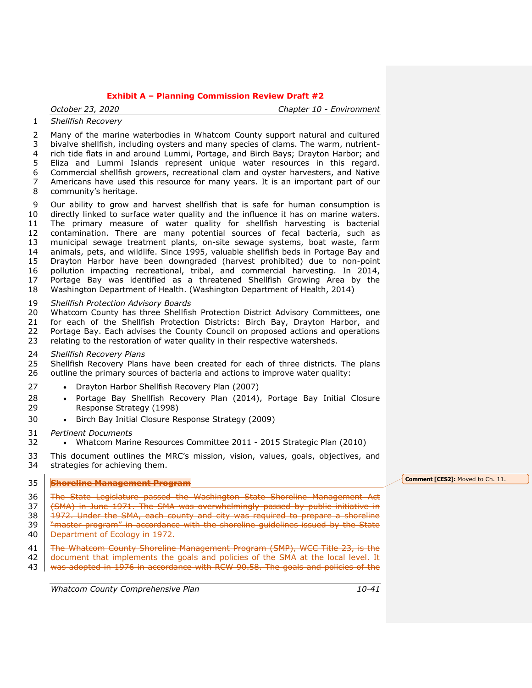*October 23, 2020 Chapter 10 - Environment*

# *Shellfish Recovery*

 Many of the marine waterbodies in Whatcom County support natural and cultured bivalve shellfish, including oysters and many species of clams. The warm, nutrient- rich tide flats in and around Lummi, Portage, and Birch Bays; Drayton Harbor; and Eliza and Lummi Islands represent unique water resources in this regard. Commercial shellfish growers, recreational clam and oyster harvesters, and Native Americans have used this resource for many years. It is an important part of our community's heritage.

 Our ability to grow and harvest shellfish that is safe for human consumption is directly linked to surface water quality and the influence it has on marine waters. The primary measure of water quality for shellfish harvesting is bacterial contamination. There are many potential sources of fecal bacteria, such as municipal sewage treatment plants, on-site sewage systems, boat waste, farm animals, pets, and wildlife. Since 1995, valuable shellfish beds in Portage Bay and Drayton Harbor have been downgraded (harvest prohibited) due to non-point pollution impacting recreational, tribal, and commercial harvesting. In 2014, Portage Bay was identified as a threatened Shellfish Growing Area by the Washington Department of Health. (Washington Department of Health, 2014)

#### *Shellfish Protection Advisory Boards*

 Whatcom County has three Shellfish Protection District Advisory Committees, one for each of the Shellfish Protection Districts: Birch Bay, Drayton Harbor, and 22 Portage Bay. Each advises the County Council on proposed actions and operations 23 relating to the restoration of water quality in their respective watersheds. relating to the restoration of water quality in their respective watersheds.

*Shellfish Recovery Plans*

 Shellfish Recovery Plans have been created for each of three districts. The plans 26 outline the primary sources of bacteria and actions to improve water quality:

- 27 [Drayton Harbor Shellfish Recovery Plan \(2007\)](http://www.co.whatcom.wa.us/publicworks/water/naturalresources/pdf/DHStatus-2007final.pdf)
- 28 [Portage Bay Shellfish Recovery Plan \(2014\),](http://www.co.whatcom.wa.us/publicworks/water/naturalresources/pdf/CRSupdate05-14.final.pdf) Portage Bay Initial Closure [Response Strategy \(1998\)](http://www.co.whatcom.wa.us/publicworks/water/naturalresources/pdf/pbspdresponsestrat_1998.pdf)
- 30 [Birch Bay Initial Closure Response Strategy \(2009\)](http://www.co.whatcom.wa.us/publicworks/water/naturalresources/pdf/BBresponsestrategy2009.pdf)
- *Pertinent Documents*
- Whatcom Marine Resources Committee 2011 2015 Strategic Plan (2010)

 This document outlines the MRC's mission, vision, values, goals, objectives, and strategies for achieving them.

# **Shoreline Management Program**

36 <del>The State Legislature passed the Washington State Shoreline Management Act</del> 37 (SMA) in June 1971. The SMA was overwhelmingly passed by public initiative in 38 1972. Under the SMA, each county and city was required to prepare a shoreline **T** "master program" in accordance with the shoreline guidelines issued by the State

- **Department of Ecology in 1972.**
- 41 <del>The Whatcom County Shoreline Management Program (SMP), WCC Title 23, is the</del>
- 42 decument that implements the goals and policies of the SMA at the local level. It
- 43 was adopted in 1976 in accordance with RCW 90.58. The goals and policies of the

*Whatcom County Comprehensive Plan 10-41*

#### **Comment [CES2]:** Moved to Ch. 11.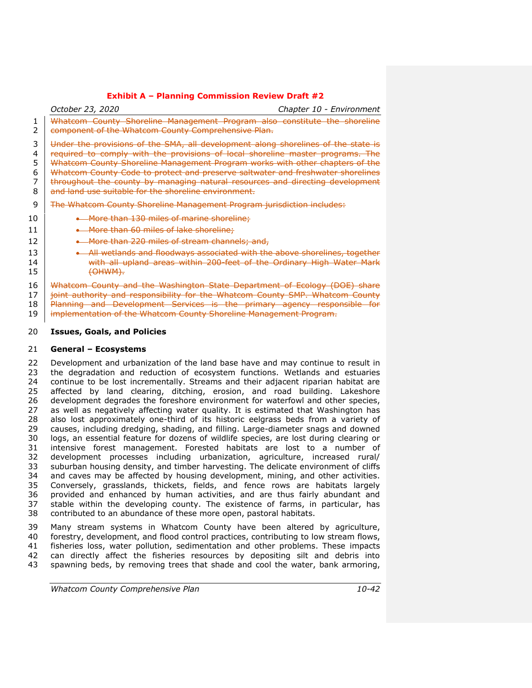*October 23, 2020 Chapter 10 - Environment* Whatcom County Shoreline Management Program also constitute the shoreline 2 <del>component of the Whatcom County Comprehensive Plan.</del> 3 Under the provisions of the SMA, all development along shorelines of the state is 4 required to comply with the provisions of local shoreline master programs. The Whatcom County Shoreline Management Program works with other chapters of the 6 Whatcom County Code to protect and preserve saltwater and freshwater shorelines<br>7 throughout the county by managing natural resources and directing development throughout the county by managing natural resources and directing development 8 and land use suitable for the shoreline environment. **The Whatcom County Shoreline Management Program jurisdiction includes: More than 130 miles of marine shoreline**; 11  $\blacksquare$  More than 60 miles of lake shoreline: **More than 220 miles of stream channels; and, All wetlands and floodways associated with the above shorelines, together With all upland areas within 200-feet of the Ordinary High Water Mark** 15 (OHWM). 16 Whatcom County and the Washington State Department of Ecology (DOE) share

17 ioint authority and responsibility for the Whatcom County SMP. Whatcom County Planning and Development Services is the primary agency responsible for 19 implementation of the Whatcom County Shoreline Management Program.

# **Issues, Goals, and Policies**

#### **General – Ecosystems**

 Development and urbanization of the land base have and may continue to result in 23 the degradation and reduction of ecosystem functions. Wetlands and estuaries<br>24 continue to be lost incrementally. Streams and their adiacent riparian habitat are continue to be lost incrementally. Streams and their adjacent riparian habitat are affected by land clearing, ditching, erosion, and road building. Lakeshore development degrades the foreshore environment for waterfowl and other species, as well as negatively affecting water quality. It is estimated that Washington has also lost approximately one-third of its historic eelgrass beds from a variety of causes, including dredging, shading, and filling. Large-diameter snags and downed logs, an essential feature for dozens of wildlife species, are lost during clearing or intensive forest management. Forested habitats are lost to a number of development processes including urbanization, agriculture, increased rural/ suburban housing density, and timber harvesting. The delicate environment of cliffs and caves may be affected by housing development, mining, and other activities. Conversely, grasslands, thickets, fields, and fence rows are habitats largely provided and enhanced by human activities, and are thus fairly abundant and stable within the developing county. The existence of farms, in particular, has contributed to an abundance of these more open, pastoral habitats.

 Many stream systems in Whatcom County have been altered by agriculture, forestry, development, and flood control practices, contributing to low stream flows, fisheries loss, water pollution, sedimentation and other problems. These impacts can directly affect the fisheries resources by depositing silt and debris into spawning beds, by removing trees that shade and cool the water, bank armoring,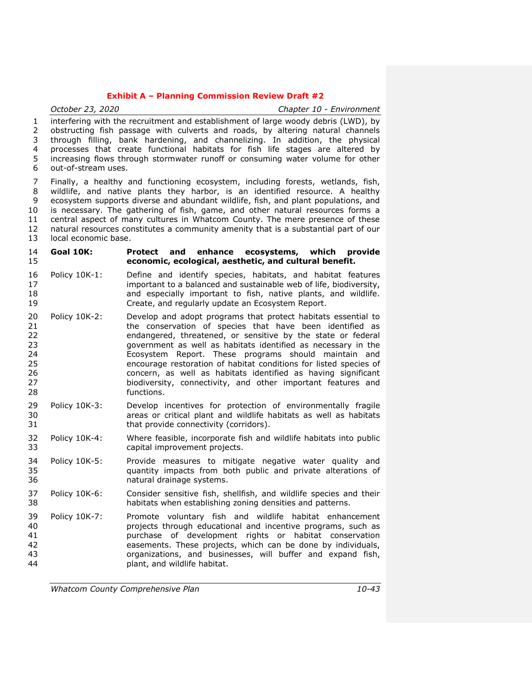|                                                    | October 23, 2020                                                                                                                                                                                                                                                                                                                                                                                                                                                                                                                          | Chapter 10 - Environment                                                                                                                                                                                                                                                                                                                                                                                                                                                                                                               |  |
|----------------------------------------------------|-------------------------------------------------------------------------------------------------------------------------------------------------------------------------------------------------------------------------------------------------------------------------------------------------------------------------------------------------------------------------------------------------------------------------------------------------------------------------------------------------------------------------------------------|----------------------------------------------------------------------------------------------------------------------------------------------------------------------------------------------------------------------------------------------------------------------------------------------------------------------------------------------------------------------------------------------------------------------------------------------------------------------------------------------------------------------------------------|--|
| $\mathbf{1}$<br>$\overline{2}$<br>3<br>4<br>5<br>6 | interfering with the recruitment and establishment of large woody debris (LWD), by<br>obstructing fish passage with culverts and roads, by altering natural channels<br>through filling, bank hardening, and channelizing. In addition, the physical<br>processes that create functional habitats for fish life stages are altered by<br>increasing flows through stormwater runoff or consuming water volume for other<br>out-of-stream uses.                                                                                            |                                                                                                                                                                                                                                                                                                                                                                                                                                                                                                                                        |  |
| 7<br>8<br>9<br>10<br>11<br>12<br>13                | Finally, a healthy and functioning ecosystem, including forests, wetlands, fish,<br>wildlife, and native plants they harbor, is an identified resource. A healthy<br>ecosystem supports diverse and abundant wildlife, fish, and plant populations, and<br>is necessary. The gathering of fish, game, and other natural resources forms a<br>central aspect of many cultures in Whatcom County. The mere presence of these<br>natural resources constitutes a community amenity that is a substantial part of our<br>local economic base. |                                                                                                                                                                                                                                                                                                                                                                                                                                                                                                                                        |  |
| 14<br>15                                           | Goal 10K:                                                                                                                                                                                                                                                                                                                                                                                                                                                                                                                                 | enhance ecosystems, which<br>Protect and<br>provide<br>economic, ecological, aesthetic, and cultural benefit.                                                                                                                                                                                                                                                                                                                                                                                                                          |  |
| 16<br>17<br>18<br>19                               | Policy 10K-1:                                                                                                                                                                                                                                                                                                                                                                                                                                                                                                                             | Define and identify species, habitats, and habitat features<br>important to a balanced and sustainable web of life, biodiversity,<br>and especially important to fish, native plants, and wildlife.<br>Create, and regularly update an Ecosystem Report.                                                                                                                                                                                                                                                                               |  |
| 20<br>21<br>22<br>23<br>24<br>25<br>26<br>27<br>28 | Policy 10K-2:                                                                                                                                                                                                                                                                                                                                                                                                                                                                                                                             | Develop and adopt programs that protect habitats essential to<br>the conservation of species that have been identified as<br>endangered, threatened, or sensitive by the state or federal<br>government as well as habitats identified as necessary in the<br>Ecosystem Report. These programs should maintain and<br>encourage restoration of habitat conditions for listed species of<br>concern, as well as habitats identified as having significant<br>biodiversity, connectivity, and other important features and<br>functions. |  |
| 29<br>30<br>31                                     | Policy 10K-3:                                                                                                                                                                                                                                                                                                                                                                                                                                                                                                                             | Develop incentives for protection of environmentally fragile<br>areas or critical plant and wildlife habitats as well as habitats<br>that provide connectivity (corridors).                                                                                                                                                                                                                                                                                                                                                            |  |
| 32<br>33                                           | Policy 10K-4:                                                                                                                                                                                                                                                                                                                                                                                                                                                                                                                             | Where feasible, incorporate fish and wildlife habitats into public<br>capital improvement projects.                                                                                                                                                                                                                                                                                                                                                                                                                                    |  |
| 34<br>35<br>36                                     | Policy 10K-5:                                                                                                                                                                                                                                                                                                                                                                                                                                                                                                                             | Provide measures to mitigate negative water quality and<br>quantity impacts from both public and private alterations of<br>natural drainage systems.                                                                                                                                                                                                                                                                                                                                                                                   |  |
| 37<br>38                                           | Policy 10K-6:                                                                                                                                                                                                                                                                                                                                                                                                                                                                                                                             | Consider sensitive fish, shellfish, and wildlife species and their<br>habitats when establishing zoning densities and patterns.                                                                                                                                                                                                                                                                                                                                                                                                        |  |
| 39<br>40<br>41<br>42<br>43<br>44                   | Policy 10K-7:                                                                                                                                                                                                                                                                                                                                                                                                                                                                                                                             | Promote voluntary fish and wildlife habitat enhancement<br>projects through educational and incentive programs, such as<br>purchase of development rights or habitat conservation<br>easements. These projects, which can be done by individuals,<br>organizations, and businesses, will buffer and expand fish,<br>plant, and wildlife habitat.                                                                                                                                                                                       |  |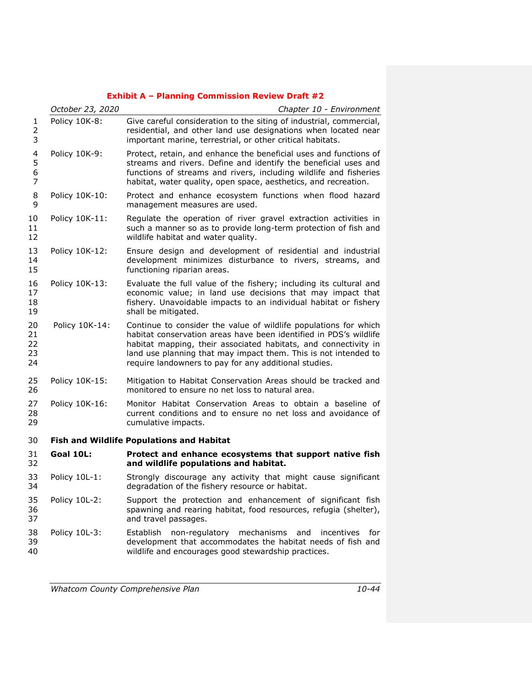|                               | October 23, 2020 | Chapter 10 - Environment                                                                                                                                                                                                                                                                                                             |
|-------------------------------|------------------|--------------------------------------------------------------------------------------------------------------------------------------------------------------------------------------------------------------------------------------------------------------------------------------------------------------------------------------|
| 1<br>2<br>3                   | Policy 10K-8:    | Give careful consideration to the siting of industrial, commercial,<br>residential, and other land use designations when located near<br>important marine, terrestrial, or other critical habitats.                                                                                                                                  |
| 4<br>5<br>6<br>$\overline{7}$ | Policy 10K-9:    | Protect, retain, and enhance the beneficial uses and functions of<br>streams and rivers. Define and identify the beneficial uses and<br>functions of streams and rivers, including wildlife and fisheries<br>habitat, water quality, open space, aesthetics, and recreation.                                                         |
| 8<br>9                        | Policy 10K-10:   | Protect and enhance ecosystem functions when flood hazard<br>management measures are used.                                                                                                                                                                                                                                           |
| 10<br>11<br>12                | Policy 10K-11:   | Regulate the operation of river gravel extraction activities in<br>such a manner so as to provide long-term protection of fish and<br>wildlife habitat and water quality.                                                                                                                                                            |
| 13<br>14<br>15                | Policy 10K-12:   | Ensure design and development of residential and industrial<br>development minimizes disturbance to rivers, streams, and<br>functioning riparian areas.                                                                                                                                                                              |
| 16<br>17<br>18<br>19          | Policy 10K-13:   | Evaluate the full value of the fishery; including its cultural and<br>economic value; in land use decisions that may impact that<br>fishery. Unavoidable impacts to an individual habitat or fishery<br>shall be mitigated.                                                                                                          |
| 20<br>21<br>22<br>23<br>24    | Policy 10K-14:   | Continue to consider the value of wildlife populations for which<br>habitat conservation areas have been identified in PDS's wildlife<br>habitat mapping, their associated habitats, and connectivity in<br>land use planning that may impact them. This is not intended to<br>require landowners to pay for any additional studies. |
| 25<br>26                      | Policy 10K-15:   | Mitigation to Habitat Conservation Areas should be tracked and<br>monitored to ensure no net loss to natural area.                                                                                                                                                                                                                   |
| 27<br>28<br>29                | Policy 10K-16:   | Monitor Habitat Conservation Areas to obtain a baseline of<br>current conditions and to ensure no net loss and avoidance of<br>cumulative impacts.                                                                                                                                                                                   |
| 30                            |                  | <b>Fish and Wildlife Populations and Habitat</b>                                                                                                                                                                                                                                                                                     |
| 31<br>32                      | Goal 10L:        | Protect and enhance ecosystems that support native fish<br>and wildlife populations and habitat.                                                                                                                                                                                                                                     |
| 33<br>34                      | Policy 10L-1:    | Strongly discourage any activity that might cause significant<br>degradation of the fishery resource or habitat.                                                                                                                                                                                                                     |
| 35<br>36<br>37                | Policy 10L-2:    | Support the protection and enhancement of significant fish<br>spawning and rearing habitat, food resources, refugia (shelter),<br>and travel passages.                                                                                                                                                                               |
| 38<br>39<br>40                | Policy 10L-3:    | <b>Establish</b><br>non-regulatory mechanisms<br>and<br>incentives<br>for<br>development that accommodates the habitat needs of fish and<br>wildlife and encourages good stewardship practices.                                                                                                                                      |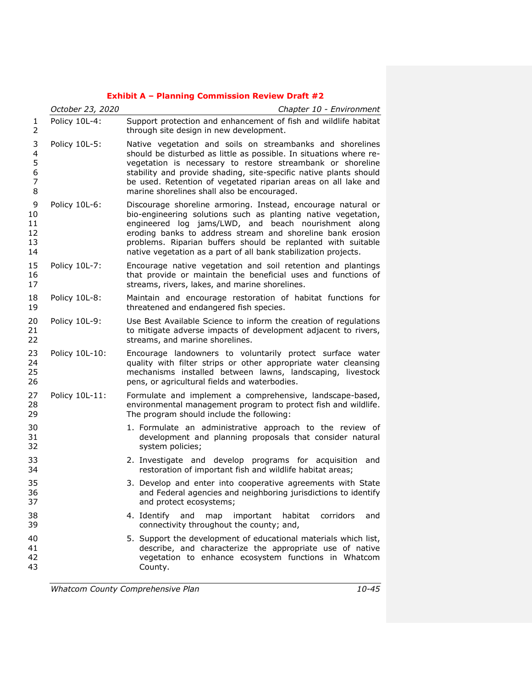|                                         | October 23, 2020 | Chapter 10 - Environment                                                                                                                                                                                                                                                                                                                                                               |  |
|-----------------------------------------|------------------|----------------------------------------------------------------------------------------------------------------------------------------------------------------------------------------------------------------------------------------------------------------------------------------------------------------------------------------------------------------------------------------|--|
| 1<br>$\overline{2}$                     | Policy 10L-4:    | Support protection and enhancement of fish and wildlife habitat<br>through site design in new development.                                                                                                                                                                                                                                                                             |  |
| 3<br>4<br>5<br>6<br>$\overline{7}$<br>8 | Policy 10L-5:    | Native vegetation and soils on streambanks and shorelines<br>should be disturbed as little as possible. In situations where re-<br>vegetation is necessary to restore streambank or shoreline<br>stability and provide shading, site-specific native plants should<br>be used. Retention of vegetated riparian areas on all lake and<br>marine shorelines shall also be encouraged.    |  |
| 9<br>10<br>11<br>12<br>13<br>14         | Policy 10L-6:    | Discourage shoreline armoring. Instead, encourage natural or<br>bio-engineering solutions such as planting native vegetation,<br>engineered log jams/LWD, and beach nourishment along<br>eroding banks to address stream and shoreline bank erosion<br>problems. Riparian buffers should be replanted with suitable<br>native vegetation as a part of all bank stabilization projects. |  |
| 15<br>16<br>17                          | Policy 10L-7:    | Encourage native vegetation and soil retention and plantings<br>that provide or maintain the beneficial uses and functions of<br>streams, rivers, lakes, and marine shorelines.                                                                                                                                                                                                        |  |
| 18<br>19                                | Policy 10L-8:    | Maintain and encourage restoration of habitat functions for<br>threatened and endangered fish species.                                                                                                                                                                                                                                                                                 |  |
| 20<br>21<br>22                          | Policy 10L-9:    | Use Best Available Science to inform the creation of regulations<br>to mitigate adverse impacts of development adjacent to rivers,<br>streams, and marine shorelines.                                                                                                                                                                                                                  |  |
| 23<br>24<br>25<br>26                    | Policy 10L-10:   | Encourage landowners to voluntarily protect surface water<br>quality with filter strips or other appropriate water cleansing<br>mechanisms installed between lawns, landscaping, livestock<br>pens, or agricultural fields and waterbodies.                                                                                                                                            |  |
| 27<br>28<br>29                          | Policy 10L-11:   | Formulate and implement a comprehensive, landscape-based,<br>environmental management program to protect fish and wildlife.<br>The program should include the following:                                                                                                                                                                                                               |  |
| 30<br>31<br>32                          |                  | 1. Formulate an administrative approach to the review of<br>development and planning proposals that consider natural<br>system policies;                                                                                                                                                                                                                                               |  |
| 33<br>34                                |                  | 2. Investigate and develop programs for acquisition and<br>restoration of important fish and wildlife habitat areas;                                                                                                                                                                                                                                                                   |  |
| 35<br>36<br>37                          |                  | 3. Develop and enter into cooperative agreements with State<br>and Federal agencies and neighboring jurisdictions to identify<br>and protect ecosystems;                                                                                                                                                                                                                               |  |
| 38<br>39                                |                  | 4. Identify<br>and<br>important<br>habitat<br>corridors<br>map<br>and<br>connectivity throughout the county; and,                                                                                                                                                                                                                                                                      |  |
| 40<br>41<br>42<br>43                    |                  | 5. Support the development of educational materials which list,<br>describe, and characterize the appropriate use of native<br>vegetation to enhance ecosystem functions in Whatcom<br>County.                                                                                                                                                                                         |  |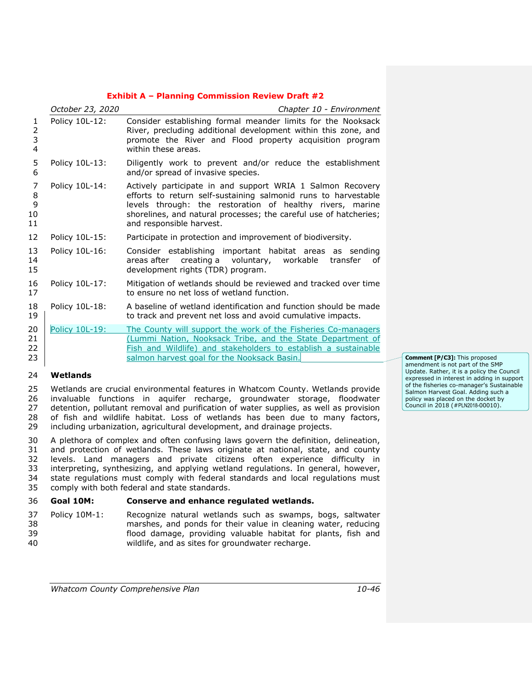|                         | October 23, 2020 | Chapter 10 - Environment                                                                                                                                                                                                                                                                   |  |
|-------------------------|------------------|--------------------------------------------------------------------------------------------------------------------------------------------------------------------------------------------------------------------------------------------------------------------------------------------|--|
| 1<br>2<br>3<br>4        | Policy 10L-12:   | Consider establishing formal meander limits for the Nooksack<br>River, precluding additional development within this zone, and<br>promote the River and Flood property acquisition program<br>within these areas.                                                                          |  |
| 5<br>6                  | Policy 10L-13:   | Diligently work to prevent and/or reduce the establishment<br>and/or spread of invasive species.                                                                                                                                                                                           |  |
| 7<br>8<br>9<br>10<br>11 | Policy 10L-14:   | Actively participate in and support WRIA 1 Salmon Recovery<br>efforts to return self-sustaining salmonid runs to harvestable<br>levels through: the restoration of healthy rivers, marine<br>shorelines, and natural processes; the careful use of hatcheries;<br>and responsible harvest. |  |
| 12                      | Policy 10L-15:   | Participate in protection and improvement of biodiversity.                                                                                                                                                                                                                                 |  |
| 13<br>14<br>15          | Policy 10L-16:   | Consider establishing important habitat areas as sending<br>areas after creating a voluntary,<br>workable<br>transfer<br>οf<br>development rights (TDR) program.                                                                                                                           |  |
| 16<br>17                | Policy 10L-17:   | Mitigation of wetlands should be reviewed and tracked over time<br>to ensure no net loss of wetland function.                                                                                                                                                                              |  |
| 18<br>19                | Policy 10L-18:   | A baseline of wetland identification and function should be made<br>to track and prevent net loss and avoid cumulative impacts.                                                                                                                                                            |  |
| 20<br>21<br>22<br>23    | Policy 10L-19:   | The County will support the work of the Fisheries Co-managers<br>(Lummi Nation, Nooksack Tribe, and the State Department of<br>Fish and Wildlife) and stakeholders to establish a sustainable<br>salmon harvest goal for the Nooksack Basin.                                               |  |

# **Wetlands**

 Wetlands are crucial environmental features in Whatcom County. Wetlands provide invaluable functions in aquifer recharge, groundwater storage, floodwater detention, pollutant removal and purification of water supplies, as well as provision 28 of fish and wildlife habitat. Loss of wetlands has been due to many factors, including urbanization, agricultural development, and drainage projects.

 A plethora of complex and often confusing laws govern the definition, delineation, and protection of wetlands. These laws originate at national, state, and county levels. Land managers and private citizens often experience difficulty in interpreting, synthesizing, and applying wetland regulations. In general, however, state regulations must comply with federal standards and local regulations must comply with both federal and state standards.

# **Goal 10M: Conserve and enhance regulated wetlands.**

 Policy 10M-1: Recognize natural wetlands such as swamps, bogs, saltwater marshes, and ponds for their value in cleaning water, reducing flood damage, providing valuable habitat for plants, fish and wildlife, and as sites for groundwater recharge.

**Comment [P/C3]:** This proposed amendment is not part of the SMP Update. Rather, it is a policy the Council expressed in interest in adding in support of the fisheries co-manager's Sustainable Salmon Harvest Goal. Adding such a policy was placed on the docket by Council in 2018 (#PLN2018-00010).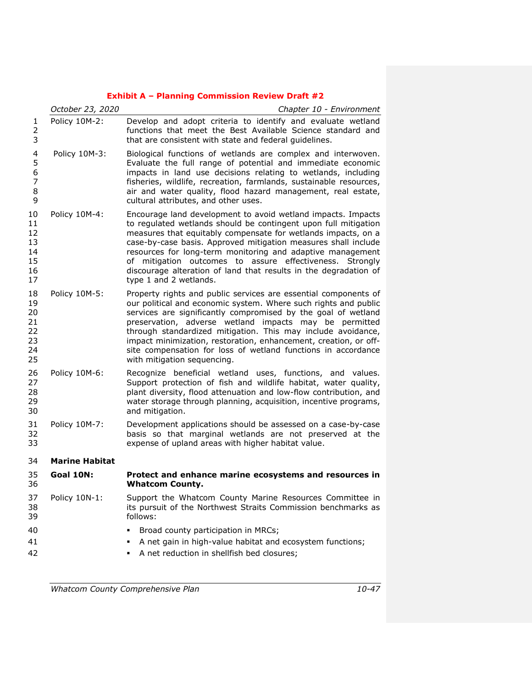|                                              | October 23, 2020      | Chapter 10 - Environment                                                                                                                                                                                                                                                                                                                                                                                                                                                                          |  |
|----------------------------------------------|-----------------------|---------------------------------------------------------------------------------------------------------------------------------------------------------------------------------------------------------------------------------------------------------------------------------------------------------------------------------------------------------------------------------------------------------------------------------------------------------------------------------------------------|--|
| 1<br>$\overline{2}$<br>3                     | Policy 10M-2:         | Develop and adopt criteria to identify and evaluate wetland<br>functions that meet the Best Available Science standard and<br>that are consistent with state and federal guidelines.                                                                                                                                                                                                                                                                                                              |  |
| 4<br>5<br>6<br>$\overline{7}$<br>8<br>9      | Policy 10M-3:         | Biological functions of wetlands are complex and interwoven.<br>Evaluate the full range of potential and immediate economic<br>impacts in land use decisions relating to wetlands, including<br>fisheries, wildlife, recreation, farmlands, sustainable resources,<br>air and water quality, flood hazard management, real estate,<br>cultural attributes, and other uses.                                                                                                                        |  |
| 10<br>11<br>12<br>13<br>14<br>15<br>16<br>17 | Policy 10M-4:         | Encourage land development to avoid wetland impacts. Impacts<br>to regulated wetlands should be contingent upon full mitigation<br>measures that equitably compensate for wetlands impacts, on a<br>case-by-case basis. Approved mitigation measures shall include<br>resources for long-term monitoring and adaptive management<br>of mitigation outcomes to assure effectiveness. Strongly<br>discourage alteration of land that results in the degradation of<br>type 1 and 2 wetlands.        |  |
| 18<br>19<br>20<br>21<br>22<br>23<br>24<br>25 | Policy 10M-5:         | Property rights and public services are essential components of<br>our political and economic system. Where such rights and public<br>services are significantly compromised by the goal of wetland<br>preservation, adverse wetland impacts may be permitted<br>through standardized mitigation. This may include avoidance,<br>impact minimization, restoration, enhancement, creation, or off-<br>site compensation for loss of wetland functions in accordance<br>with mitigation sequencing. |  |
| 26<br>27<br>28<br>29<br>30                   | Policy 10M-6:         | Recognize beneficial wetland uses, functions, and values.<br>Support protection of fish and wildlife habitat, water quality,<br>plant diversity, flood attenuation and low-flow contribution, and<br>water storage through planning, acquisition, incentive programs,<br>and mitigation.                                                                                                                                                                                                          |  |
| 31<br>32<br>33                               | Policy 10M-7:         | Development applications should be assessed on a case-by-case<br>basis so that marginal wetlands are not preserved at the<br>expense of upland areas with higher habitat value.                                                                                                                                                                                                                                                                                                                   |  |
| 34                                           | <b>Marine Habitat</b> |                                                                                                                                                                                                                                                                                                                                                                                                                                                                                                   |  |
| 35<br>36                                     | Goal 10N:             | Protect and enhance marine ecosystems and resources in<br><b>Whatcom County.</b>                                                                                                                                                                                                                                                                                                                                                                                                                  |  |
| 37<br>38<br>39                               | Policy 10N-1:         | Support the Whatcom County Marine Resources Committee in<br>its pursuit of the Northwest Straits Commission benchmarks as<br>follows:                                                                                                                                                                                                                                                                                                                                                             |  |
| 40<br>41<br>42                               |                       | Broad county participation in MRCs;<br>A net gain in high-value habitat and ecosystem functions;<br>A net reduction in shellfish bed closures;<br>٠                                                                                                                                                                                                                                                                                                                                               |  |

*Whatcom County Comprehensive Plan 10-47*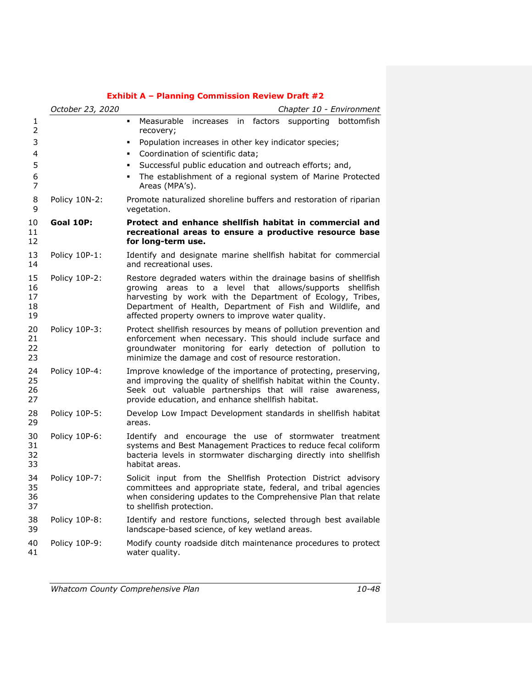|                            | October 23, 2020 | Chapter 10 - Environment                                                                                                                                                                                                                                                                                        |  |
|----------------------------|------------------|-----------------------------------------------------------------------------------------------------------------------------------------------------------------------------------------------------------------------------------------------------------------------------------------------------------------|--|
| 1<br>2                     |                  | Measurable increases<br>factors supporting bottomfish<br>in<br>recovery;                                                                                                                                                                                                                                        |  |
| 3                          |                  | Population increases in other key indicator species;<br>٠                                                                                                                                                                                                                                                       |  |
| 4                          |                  | Coordination of scientific data;                                                                                                                                                                                                                                                                                |  |
| 5                          |                  | Successful public education and outreach efforts; and,                                                                                                                                                                                                                                                          |  |
| 6<br>7                     |                  | The establishment of a regional system of Marine Protected<br>Areas (MPA's).                                                                                                                                                                                                                                    |  |
| 8<br>9                     | Policy 10N-2:    | Promote naturalized shoreline buffers and restoration of riparian<br>vegetation.                                                                                                                                                                                                                                |  |
| 10<br>11<br>12             | Goal 10P:        | Protect and enhance shellfish habitat in commercial and<br>recreational areas to ensure a productive resource base<br>for long-term use.                                                                                                                                                                        |  |
| 13<br>14                   | Policy 10P-1:    | Identify and designate marine shellfish habitat for commercial<br>and recreational uses.                                                                                                                                                                                                                        |  |
| 15<br>16<br>17<br>18<br>19 | Policy 10P-2:    | Restore degraded waters within the drainage basins of shellfish<br>areas to a level that allows/supports shellfish<br>arowina<br>harvesting by work with the Department of Ecology, Tribes,<br>Department of Health, Department of Fish and Wildlife, and<br>affected property owners to improve water quality. |  |
| 20<br>21<br>22<br>23       | Policy 10P-3:    | Protect shellfish resources by means of pollution prevention and<br>enforcement when necessary. This should include surface and<br>groundwater monitoring for early detection of pollution to<br>minimize the damage and cost of resource restoration.                                                          |  |
| 24<br>25<br>26<br>27       | Policy 10P-4:    | Improve knowledge of the importance of protecting, preserving,<br>and improving the quality of shellfish habitat within the County.<br>Seek out valuable partnerships that will raise awareness,<br>provide education, and enhance shellfish habitat.                                                           |  |
| 28<br>29                   | Policy 10P-5:    | Develop Low Impact Development standards in shellfish habitat<br>areas.                                                                                                                                                                                                                                         |  |
| 30<br>31<br>32<br>33       | Policy 10P-6:    | Identify and encourage the use of stormwater treatment<br>systems and Best Management Practices to reduce fecal coliform<br>bacteria levels in stormwater discharging directly into shellfish<br>habitat areas.                                                                                                 |  |
| 34<br>35<br>36<br>37       | Policy 10P-7:    | Solicit input from the Shellfish Protection District advisory<br>committees and appropriate state, federal, and tribal agencies<br>when considering updates to the Comprehensive Plan that relate<br>to shellfish protection.                                                                                   |  |
| 38<br>39                   | Policy 10P-8:    | Identify and restore functions, selected through best available<br>landscape-based science, of key wetland areas.                                                                                                                                                                                               |  |
| 40<br>41                   | Policy 10P-9:    | Modify county roadside ditch maintenance procedures to protect<br>water quality.                                                                                                                                                                                                                                |  |
|                            |                  |                                                                                                                                                                                                                                                                                                                 |  |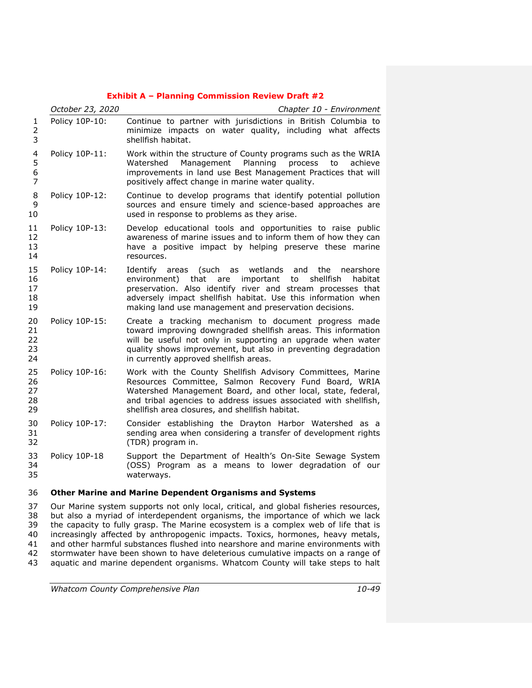|                               | October 23, 2020 | Chapter 10 - Environment                                                                                                                                                                                                                                                                                                           |  |
|-------------------------------|------------------|------------------------------------------------------------------------------------------------------------------------------------------------------------------------------------------------------------------------------------------------------------------------------------------------------------------------------------|--|
| 1<br>$\overline{2}$<br>3      | Policy 10P-10:   | Continue to partner with jurisdictions in British Columbia to<br>minimize impacts on water quality, including what affects<br>shellfish habitat.                                                                                                                                                                                   |  |
| 4<br>5<br>6<br>$\overline{7}$ | Policy 10P-11:   | Work within the structure of County programs such as the WRIA<br>Management Planning<br>process<br>Watershed<br>to<br>achieve<br>improvements in land use Best Management Practices that will<br>positively affect change in marine water quality.                                                                                 |  |
| 8<br>9<br>10                  | Policy 10P-12:   | Continue to develop programs that identify potential pollution<br>sources and ensure timely and science-based approaches are<br>used in response to problems as they arise.                                                                                                                                                        |  |
| 11<br>12<br>13<br>14          | Policy 10P-13:   | Develop educational tools and opportunities to raise public<br>awareness of marine issues and to inform them of how they can<br>have a positive impact by helping preserve these marine<br>resources.                                                                                                                              |  |
| 15<br>16<br>17<br>18<br>19    | Policy 10P-14:   | (such<br>wetlands<br>Identify areas<br>as<br>and<br>the<br>nearshore<br>environment) that<br>are important<br>to<br>shellfish<br>habitat<br>preservation. Also identify river and stream processes that<br>adversely impact shellfish habitat. Use this information when<br>making land use management and preservation decisions. |  |
| 20<br>21<br>22<br>23<br>24    | Policy 10P-15:   | Create a tracking mechanism to document progress made<br>toward improving downgraded shellfish areas. This information<br>will be useful not only in supporting an upgrade when water<br>quality shows improvement, but also in preventing degradation<br>in currently approved shellfish areas.                                   |  |
| 25<br>26<br>27<br>28<br>29    | Policy 10P-16:   | Work with the County Shellfish Advisory Committees, Marine<br>Resources Committee, Salmon Recovery Fund Board, WRIA<br>Watershed Management Board, and other local, state, federal,<br>and tribal agencies to address issues associated with shellfish,<br>shellfish area closures, and shellfish habitat.                         |  |
| 30<br>31<br>32                | Policy 10P-17:   | Consider establishing the Drayton Harbor Watershed as a<br>sending area when considering a transfer of development rights<br>(TDR) program in.                                                                                                                                                                                     |  |
| 33<br>34<br>35                | Policy 10P-18    | Support the Department of Health's On-Site Sewage System<br>(OSS) Program as a means to lower degradation of our<br>waterways.                                                                                                                                                                                                     |  |
| 36                            |                  | <b>Other Marine and Marine Dependent Organisms and Systems</b>                                                                                                                                                                                                                                                                     |  |
| 37<br>3R                      |                  | Our Marine system supports not only local, critical, and global fisheries resources,<br>but also a myriad of interdependent organisms, the importance of which we lack                                                                                                                                                             |  |

 but also a myriad of interdependent organisms, the importance of which we lack the capacity to fully grasp. The Marine ecosystem is a complex web of life that is increasingly affected by anthropogenic impacts. Toxics, hormones, heavy metals, and other harmful substances flushed into nearshore and marine environments with stormwater have been shown to have deleterious cumulative impacts on a range of aquatic and marine dependent organisms. Whatcom County will take steps to halt